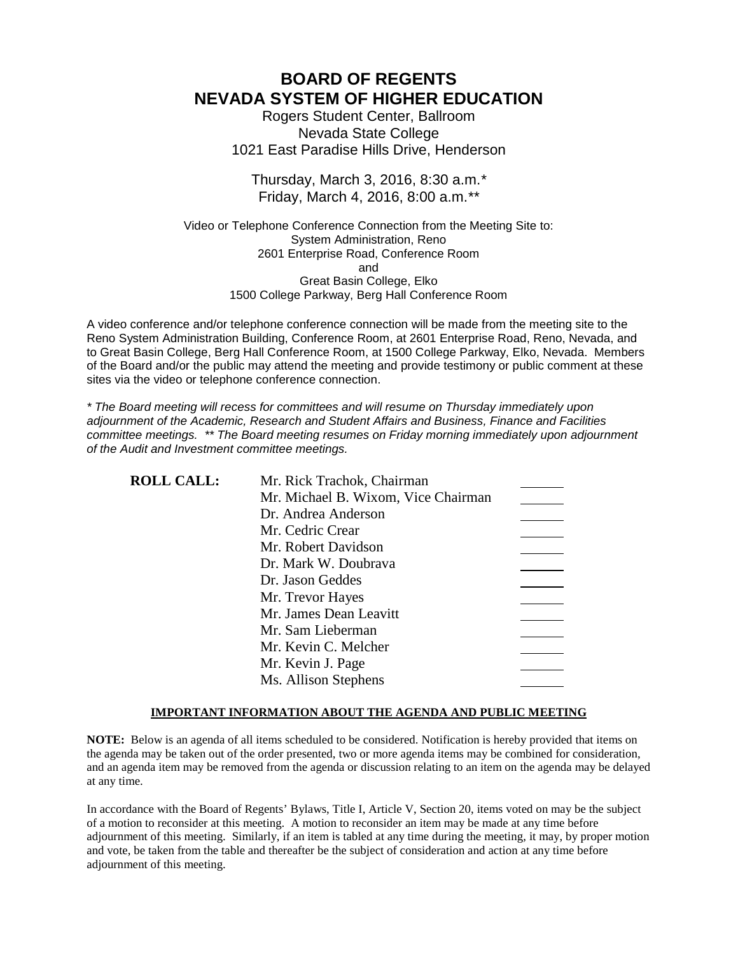# **BOARD OF REGENTS NEVADA SYSTEM OF HIGHER EDUCATION**

Rogers Student Center, Ballroom Nevada State College 1021 East Paradise Hills Drive, Henderson

### Thursday, March 3, 2016, 8:30 a.m.*\** Friday, March 4, 2016, 8:00 a.m.*\*\**

Video or Telephone Conference Connection from the Meeting Site to: System Administration, Reno 2601 Enterprise Road, Conference Room and Great Basin College, Elko 1500 College Parkway, Berg Hall Conference Room

A video conference and/or telephone conference connection will be made from the meeting site to the Reno System Administration Building, Conference Room, at 2601 Enterprise Road, Reno, Nevada, and to Great Basin College, Berg Hall Conference Room, at 1500 College Parkway, Elko, Nevada. Members of the Board and/or the public may attend the meeting and provide testimony or public comment at these sites via the video or telephone conference connection.

*\* The Board meeting will recess for committees and will resume on Thursday immediately upon adjournment of the Academic, Research and Student Affairs and Business, Finance and Facilities committee meetings. \*\* The Board meeting resumes on Friday morning immediately upon adjournment of the Audit and Investment committee meetings.*

| <b>ROLL CALL:</b> | Mr. Rick Trachok, Chairman          |  |
|-------------------|-------------------------------------|--|
|                   | Mr. Michael B. Wixom, Vice Chairman |  |
|                   | Dr. Andrea Anderson                 |  |
|                   | Mr. Cedric Crear                    |  |
|                   | Mr. Robert Davidson                 |  |
|                   | Dr. Mark W. Doubrava                |  |
|                   | Dr. Jason Geddes                    |  |
|                   | Mr. Trevor Hayes                    |  |
|                   | Mr. James Dean Leavitt              |  |
|                   | Mr. Sam Lieberman                   |  |
|                   | Mr. Kevin C. Melcher                |  |
|                   | Mr. Kevin J. Page                   |  |
|                   | Ms. Allison Stephens                |  |

### **IMPORTANT INFORMATION ABOUT THE AGENDA AND PUBLIC MEETING**

**NOTE:** Below is an agenda of all items scheduled to be considered. Notification is hereby provided that items on the agenda may be taken out of the order presented, two or more agenda items may be combined for consideration, and an agenda item may be removed from the agenda or discussion relating to an item on the agenda may be delayed at any time.

In accordance with the Board of Regents' Bylaws, Title I, Article V, Section 20, items voted on may be the subject of a motion to reconsider at this meeting. A motion to reconsider an item may be made at any time before adjournment of this meeting. Similarly, if an item is tabled at any time during the meeting, it may, by proper motion and vote, be taken from the table and thereafter be the subject of consideration and action at any time before adjournment of this meeting.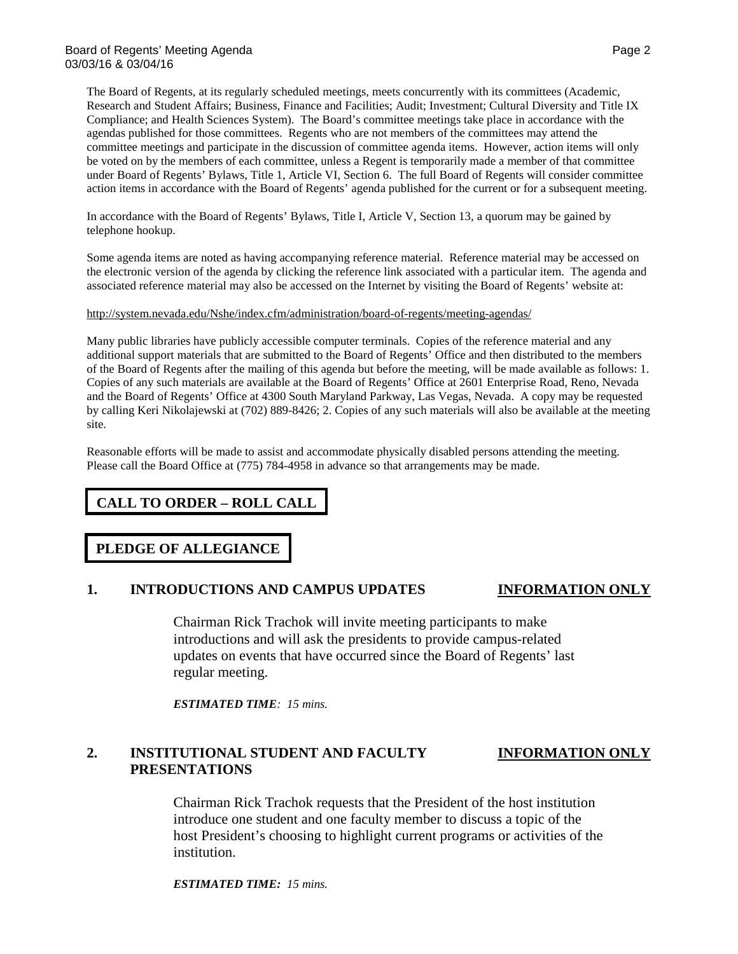The Board of Regents, at its regularly scheduled meetings, meets concurrently with its committees (Academic, Research and Student Affairs; Business, Finance and Facilities; Audit; Investment; Cultural Diversity and Title IX Compliance; and Health Sciences System). The Board's committee meetings take place in accordance with the agendas published for those committees. Regents who are not members of the committees may attend the committee meetings and participate in the discussion of committee agenda items. However, action items will only be voted on by the members of each committee, unless a Regent is temporarily made a member of that committee under Board of Regents' Bylaws, Title 1, Article VI, Section 6. The full Board of Regents will consider committee action items in accordance with the Board of Regents' agenda published for the current or for a subsequent meeting.

In accordance with the Board of Regents' Bylaws, Title I, Article V, Section 13, a quorum may be gained by telephone hookup.

Some agenda items are noted as having accompanying reference material. Reference material may be accessed on the electronic version of the agenda by clicking the reference link associated with a particular item. The agenda and associated reference material may also be accessed on the Internet by visiting the Board of Regents' website at:

### <http://system.nevada.edu/Nshe/index.cfm/administration/board-of-regents/meeting-agendas/>

Many public libraries have publicly accessible computer terminals. Copies of the reference material and any additional support materials that are submitted to the Board of Regents' Office and then distributed to the members of the Board of Regents after the mailing of this agenda but before the meeting, will be made available as follows: 1. Copies of any such materials are available at the Board of Regents' Office at 2601 Enterprise Road, Reno, Nevada and the Board of Regents' Office at 4300 South Maryland Parkway, Las Vegas, Nevada. A copy may be requested by calling Keri Nikolajewski at (702) 889-8426; 2. Copies of any such materials will also be available at the meeting site.

Reasonable efforts will be made to assist and accommodate physically disabled persons attending the meeting. Please call the Board Office at (775) 784-4958 in advance so that arrangements may be made.

# **CALL TO ORDER – ROLL CALL**

### **PLEDGE OF ALLEGIANCE**

### **1. INTRODUCTIONS AND CAMPUS UPDATES INFORMATION ONLY**

Chairman Rick Trachok will invite meeting participants to make introductions and will ask the presidents to provide campus-related updates on events that have occurred since the Board of Regents' last regular meeting.

*ESTIMATED TIME: 15 mins.*

## **2. INSTITUTIONAL STUDENT AND FACULTY INFORMATION ONLY PRESENTATIONS**

Chairman Rick Trachok requests that the President of the host institution introduce one student and one faculty member to discuss a topic of the host President's choosing to highlight current programs or activities of the institution.

*ESTIMATED TIME: 15 mins.*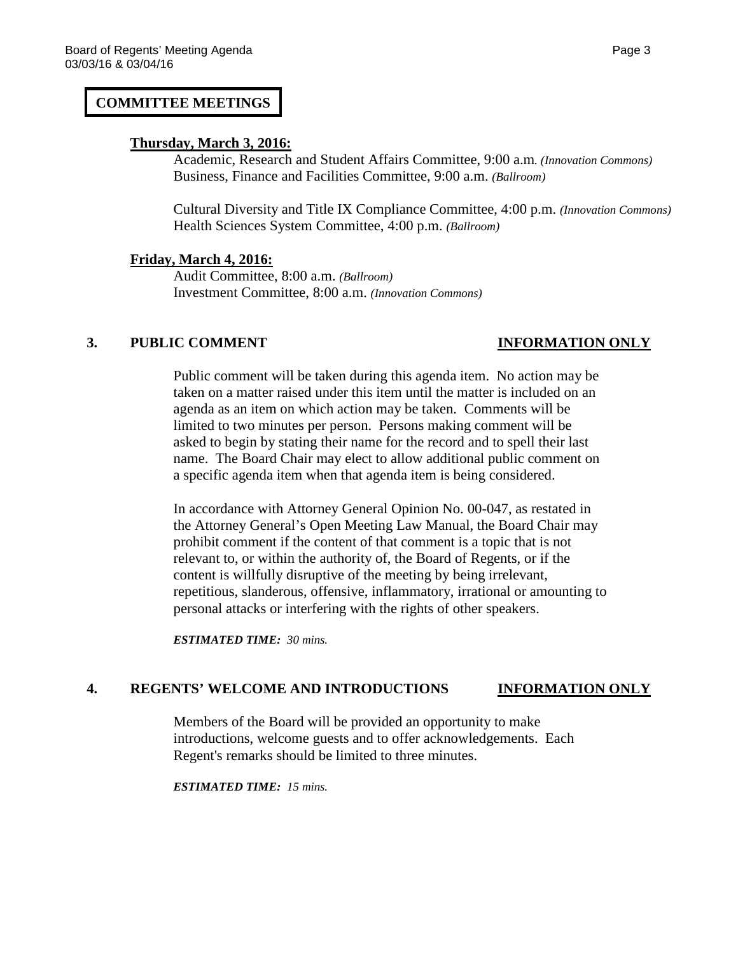## **COMMITTEE MEETINGS**

### **Thursday, March 3, 2016:**

Academic, Research and Student Affairs Committee, 9:00 a.m*. (Innovation Commons)* Business, Finance and Facilities Committee, 9:00 a.m. *(Ballroom)*

Cultural Diversity and Title IX Compliance Committee, 4:00 p.m. *(Innovation Commons)* Health Sciences System Committee, 4:00 p.m. *(Ballroom)*

### **Friday, March 4, 2016:**

Audit Committee, 8:00 a.m. *(Ballroom)* Investment Committee, 8:00 a.m. *(Innovation Commons)*

### **3. PUBLIC COMMENT INFORMATION ONLY**

Public comment will be taken during this agenda item. No action may be taken on a matter raised under this item until the matter is included on an agenda as an item on which action may be taken. Comments will be limited to two minutes per person. Persons making comment will be asked to begin by stating their name for the record and to spell their last name. The Board Chair may elect to allow additional public comment on a specific agenda item when that agenda item is being considered.

In accordance with Attorney General Opinion No. 00-047, as restated in the Attorney General's Open Meeting Law Manual, the Board Chair may prohibit comment if the content of that comment is a topic that is not relevant to, or within the authority of, the Board of Regents, or if the content is willfully disruptive of the meeting by being irrelevant, repetitious, slanderous, offensive, inflammatory, irrational or amounting to personal attacks or interfering with the rights of other speakers.

*ESTIMATED TIME: 30 mins.*

# **4. REGENTS' WELCOME AND INTRODUCTIONS INFORMATION ONLY**

Members of the Board will be provided an opportunity to make introductions, welcome guests and to offer acknowledgements. Each Regent's remarks should be limited to three minutes.

*ESTIMATED TIME: 15 mins.*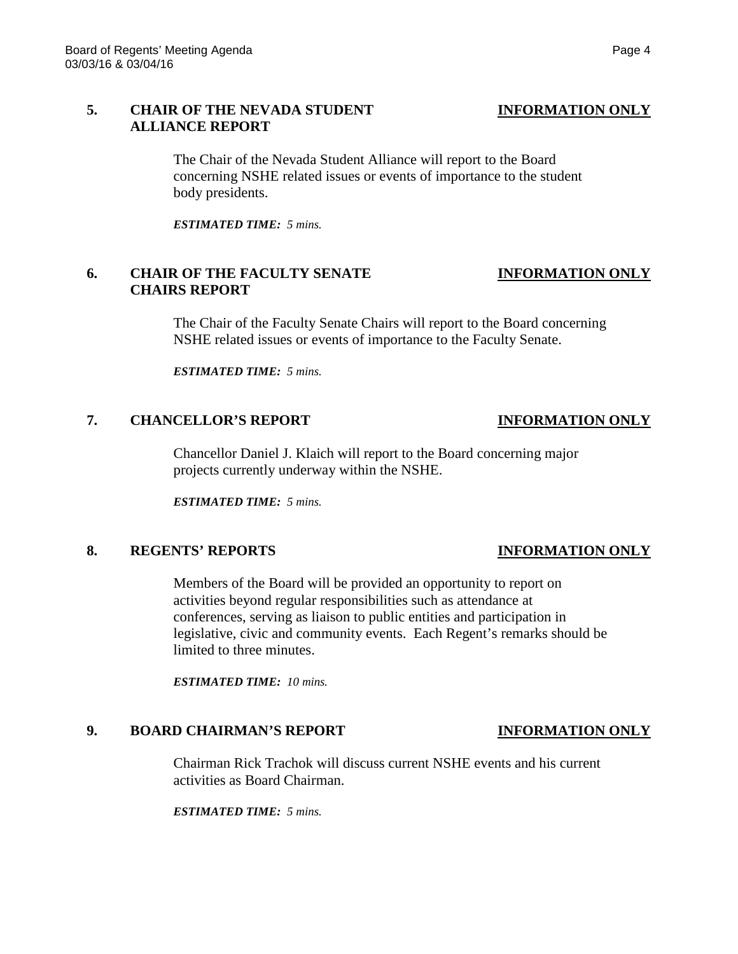### **5. CHAIR OF THE NEVADA STUDENT INFORMATION ONLY ALLIANCE REPORT**

The Chair of the Nevada Student Alliance will report to the Board concerning NSHE related issues or events of importance to the student body presidents.

*ESTIMATED TIME: 5 mins.*

# **6. CHAIR OF THE FACULTY SENATE INFORMATION ONLY CHAIRS REPORT**

The Chair of the Faculty Senate Chairs will report to the Board concerning NSHE related issues or events of importance to the Faculty Senate.

*ESTIMATED TIME: 5 mins.*

## **7. CHANCELLOR'S REPORT INFORMATION ONLY**

Chancellor Daniel J. Klaich will report to the Board concerning major projects currently underway within the NSHE.

*ESTIMATED TIME: 5 mins.*

### **8. REGENTS' REPORTS INFORMATION ONLY**

Members of the Board will be provided an opportunity to report on activities beyond regular responsibilities such as attendance at conferences, serving as liaison to public entities and participation in legislative, civic and community events. Each Regent's remarks should be limited to three minutes.

*ESTIMATED TIME: 10 mins.*

### **9. BOARD CHAIRMAN'S REPORT INFORMATION ONLY**

Chairman Rick Trachok will discuss current NSHE events and his current activities as Board Chairman.

*ESTIMATED TIME: 5 mins.*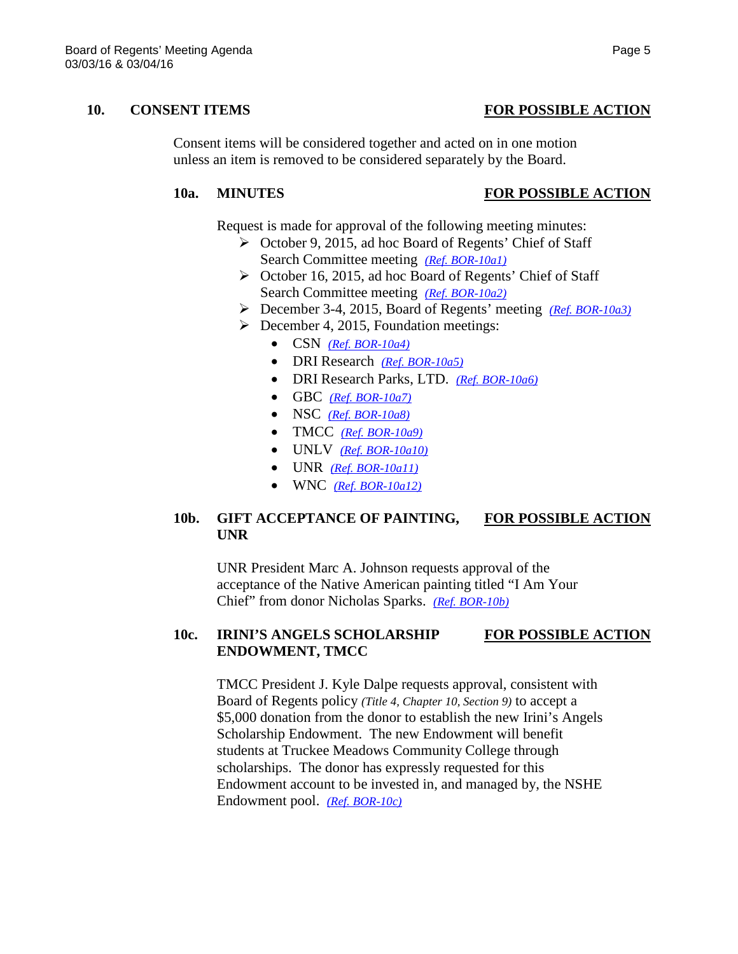### **10. CONSENT ITEMS FOR POSSIBLE ACTION**

Consent items will be considered together and acted on in one motion unless an item is removed to be considered separately by the Board.

### **10a. MINUTES FOR POSSIBLE ACTION**

Request is made for approval of the following meeting minutes:

- October 9, 2015, ad hoc Board of Regents' Chief of Staff Search Committee meeting *[\(Ref. BOR-10a1\)](http://system.nevada.edu/tasks/sites/Nshe/assets/File/BoardOfRegents/Agendas/2016/mar-mtgs/bor-refs/BOR-10a1.pdf)*
- ▶ October 16, 2015, ad hoc Board of Regents' Chief of Staff Search Committee meeting *[\(Ref. BOR-10a2\)](http://system.nevada.edu/tasks/sites/Nshe/assets/File/BoardOfRegents/Agendas/2016/mar-mtgs/bor-refs/BOR-10a2.pdf)*
- December 3-4, 2015, Board of Regents' meeting *[\(Ref. BOR-10a3\)](http://system.nevada.edu/tasks/sites/Nshe/assets/File/BoardOfRegents/Agendas/2016/mar-mtgs/bor-refs/BOR-10a3.pdf)*
- $\triangleright$  December 4, 2015, Foundation meetings:
	- CSN *[\(Ref. BOR-10a4\)](http://system.nevada.edu/tasks/sites/Nshe/assets/File/BoardOfRegents/Agendas/2016/mar-mtgs/bor-refs/BOR-10a4.pdf)*
	- DRI Research *[\(Ref. BOR-10a5\)](http://system.nevada.edu/tasks/sites/Nshe/assets/File/BoardOfRegents/Agendas/2016/mar-mtgs/bor-refs/BOR-10a5.pdf)*
	- DRI Research Parks, LTD. *[\(Ref. BOR-10a6\)](http://system.nevada.edu/tasks/sites/Nshe/assets/File/BoardOfRegents/Agendas/2016/mar-mtgs/bor-refs/BOR-10a6.pdf)*
	- GBC *[\(Ref. BOR-10a7\)](http://system.nevada.edu/tasks/sites/Nshe/assets/File/BoardOfRegents/Agendas/2016/mar-mtgs/bor-refs/BOR-10a7.pdf)*
	- NSC *[\(Ref. BOR-10a8\)](http://system.nevada.edu/tasks/sites/Nshe/assets/File/BoardOfRegents/Agendas/2016/mar-mtgs/bor-refs/BOR-10a8.pdf)*
	- TMCC *[\(Ref. BOR-10a9\)](http://system.nevada.edu/tasks/sites/Nshe/assets/File/BoardOfRegents/Agendas/2016/mar-mtgs/bor-refs/BOR-10a9.pdf)*
	- UNLV *[\(Ref. BOR-10a10\)](http://system.nevada.edu/tasks/sites/Nshe/assets/File/BoardOfRegents/Agendas/2016/mar-mtgs/bor-refs/BOR-10a10.pdf)*
	- UNR *[\(Ref. BOR-10a11\)](http://system.nevada.edu/tasks/sites/Nshe/assets/File/BoardOfRegents/Agendas/2016/mar-mtgs/bor-refs/BOR-10a11.pdf)*
	- WNC *[\(Ref. BOR-10a12\)](http://system.nevada.edu/tasks/sites/Nshe/assets/File/BoardOfRegents/Agendas/2016/mar-mtgs/bor-refs/BOR-10a12.pdf)*

## **10b. GIFT ACCEPTANCE OF PAINTING, FOR POSSIBLE ACTION UNR**

UNR President Marc A. Johnson requests approval of the acceptance of the Native American painting titled "I Am Your Chief" from donor Nicholas Sparks. *[\(Ref. BOR-10b\)](http://system.nevada.edu/tasks/sites/Nshe/assets/File/BoardOfRegents/Agendas/2016/mar-mtgs/bor-refs/BOR-10b.pdf)*

### **10c. IRINI'S ANGELS SCHOLARSHIP FOR POSSIBLE ACTION ENDOWMENT, TMCC**

TMCC President J. Kyle Dalpe requests approval, consistent with Board of Regents policy *(Title 4, Chapter 10, Section 9)* to accept a \$5,000 donation from the donor to establish the new Irini's Angels Scholarship Endowment. The new Endowment will benefit students at Truckee Meadows Community College through scholarships. The donor has expressly requested for this Endowment account to be invested in, and managed by, the NSHE Endowment pool. *[\(Ref. BOR-10c\)](http://system.nevada.edu/tasks/sites/Nshe/assets/File/BoardOfRegents/Agendas/2016/mar-mtgs/bor-refs/BOR-10c.pdf)*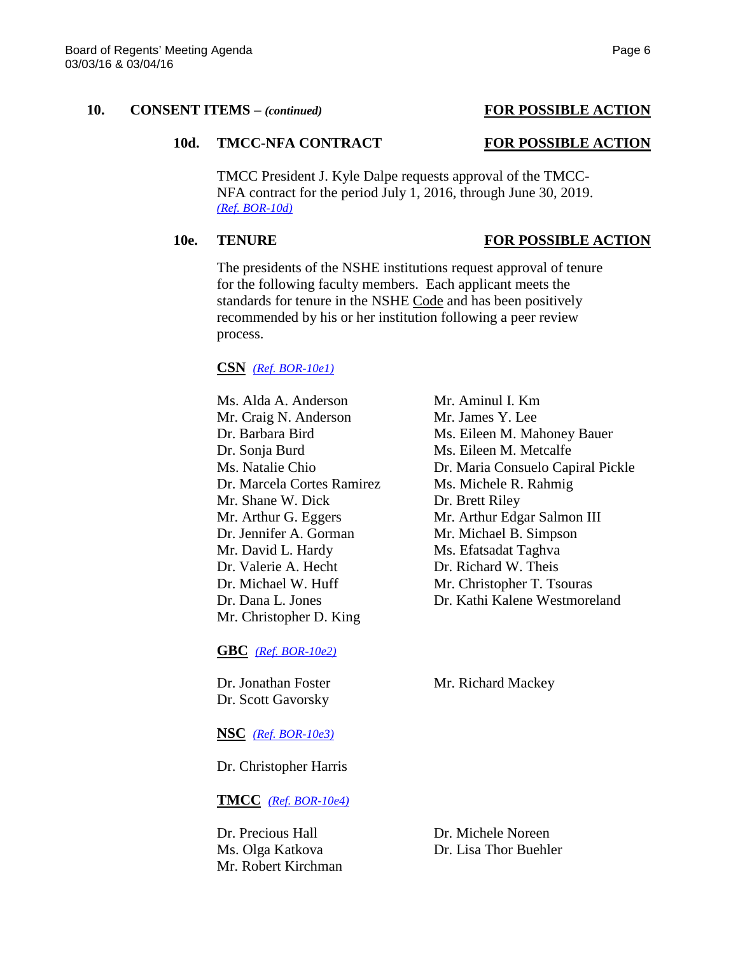### 10d. TMCC-NFA CONTRACT FOR POSSIBLE ACTION

TMCC President J. Kyle Dalpe requests approval of the TMCC-NFA contract for the period July 1, 2016, through June 30, 2019. *[\(Ref. BOR-10d\)](http://system.nevada.edu/tasks/sites/Nshe/assets/File/BoardOfRegents/Agendas/2016/mar-mtgs/bor-refs/BOR-10d.pdf)*

### **10e. TENURE FOR POSSIBLE ACTION**

The presidents of the NSHE institutions request approval of tenure for the following faculty members. Each applicant meets the standards for tenure in the NSHE Code and has been positively recommended by his or her institution following a peer review process.

### **CSN** *[\(Ref. BOR-10e1\)](http://system.nevada.edu/tasks/sites/Nshe/assets/File/BoardOfRegents/Agendas/2016/mar-mtgs/bor-refs/BOR-10e1.pdf)*

Ms. Alda A. Anderson Mr. Aminul I. Km Mr. Craig N. Anderson Mr. James Y. Lee Dr. Barbara Bird Ms. Eileen M. Mahoney Bauer Dr. Sonja Burd Ms. Eileen M. Metcalfe Ms. Natalie Chio Dr. Maria Consuelo Capiral Pickle Dr. Marcela Cortes Ramirez Ms. Michele R. Rahmig Mr. Shane W. Dick Dr. Brett Riley Dr. Jennifer A. Gorman Mr. Michael B. Simpson Mr. David L. Hardy Ms. Efatsadat Taghva Dr. Valerie A. Hecht Dr. Richard W. Theis Dr. Michael W. Huff Mr. Christopher T. Tsouras Dr. Dana L. Jones Dr. Kathi Kalene Westmoreland Mr. Christopher D. King

**GBC** *[\(Ref. BOR-10e2\)](http://system.nevada.edu/tasks/sites/Nshe/assets/File/BoardOfRegents/Agendas/2016/mar-mtgs/bor-refs/BOR-10e2.pdf)*

Dr. Scott Gavorsky

Dr. Jonathan Foster Mr. Richard Mackey

### **NSC** *[\(Ref. BOR-10e3\)](http://system.nevada.edu/tasks/sites/Nshe/assets/File/BoardOfRegents/Agendas/2016/mar-mtgs/bor-refs/BOR-10e3.pdf)*

Dr. Christopher Harris

### **TMCC** *[\(Ref. BOR-10e4\)](http://system.nevada.edu/tasks/sites/Nshe/assets/File/BoardOfRegents/Agendas/2016/mar-mtgs/bor-refs/BOR-10e4.pdf)*

Dr. Precious Hall Dr. Michele Noreen Mr. Robert Kirchman

Ms. Olga Katkova Dr. Lisa Thor Buehler

Mr. Arthur G. Eggers Mr. Arthur Edgar Salmon III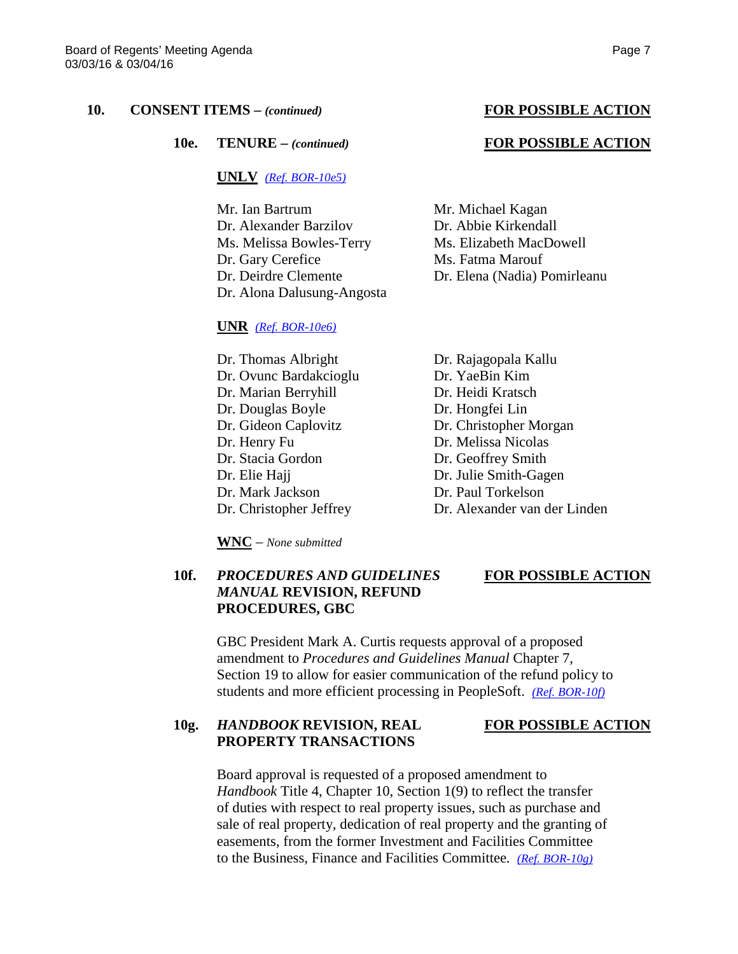**10e. TENURE –** *(continued)* **FOR POSSIBLE ACTION**

### **UNLV** *[\(Ref. BOR-10e5\)](http://system.nevada.edu/tasks/sites/Nshe/assets/File/BoardOfRegents/Agendas/2016/mar-mtgs/bor-refs/BOR-10e5.pdf)*

Mr. Ian Bartrum Mr. Michael Kagan Dr. Alexander Barzilov Dr. Abbie Kirkendall Ms. Melissa Bowles-Terry Ms. Elizabeth MacDowell Dr. Gary Cerefice Ms. Fatma Marouf Dr. Alona Dalusung-Angosta

### **UNR** *[\(Ref. BOR-10e6\)](http://system.nevada.edu/tasks/sites/Nshe/assets/File/BoardOfRegents/Agendas/2016/mar-mtgs/bor-refs/BOR-10e6.pdf)*

Dr. Thomas Albright Dr. Rajagopala Kallu Dr. Ovunc Bardakcioglu Dr. YaeBin Kim Dr. Marian Berryhill Dr. Heidi Kratsch Dr. Douglas Boyle Dr. Hongfei Lin Dr. Gideon Caplovitz Dr. Christopher Morgan Dr. Henry Fu Dr. Melissa Nicolas Dr. Stacia Gordon Dr. Geoffrey Smith Dr. Elie Hajj Dr. Julie Smith-Gagen Dr. Mark Jackson Dr. Paul Torkelson Dr. Christopher Jeffrey Dr. Alexander van der Linden

**WNC** – *None submitted*

**PROCEDURES, GBC**

*MANUAL* **REVISION, REFUND**

# **10f.** *PROCEDURES AND GUIDELINES* **FOR POSSIBLE ACTION**

GBC President Mark A. Curtis requests approval of a proposed amendment to *Procedures and Guidelines Manual* Chapter 7, Section 19 to allow for easier communication of the refund policy to students and more efficient processing in PeopleSoft. *[\(Ref. BOR-10f\)](http://system.nevada.edu/tasks/sites/Nshe/assets/File/BoardOfRegents/Agendas/2016/mar-mtgs/bor-refs/BOR-10f.pdf)*

## **10g.** *HANDBOOK* **REVISION, REAL FOR POSSIBLE ACTION PROPERTY TRANSACTIONS**

Board approval is requested of a proposed amendment to *Handbook* Title 4, Chapter 10, Section 1(9) to reflect the transfer of duties with respect to real property issues, such as purchase and sale of real property, dedication of real property and the granting of easements, from the former Investment and Facilities Committee to the Business, Finance and Facilities Committee. *[\(Ref. BOR-10g\)](http://system.nevada.edu/tasks/sites/Nshe/assets/File/BoardOfRegents/Agendas/2016/mar-mtgs/bor-refs/BOR-10g.pdf)*

Dr. Deirdre Clemente Dr. Elena (Nadia) Pomirleanu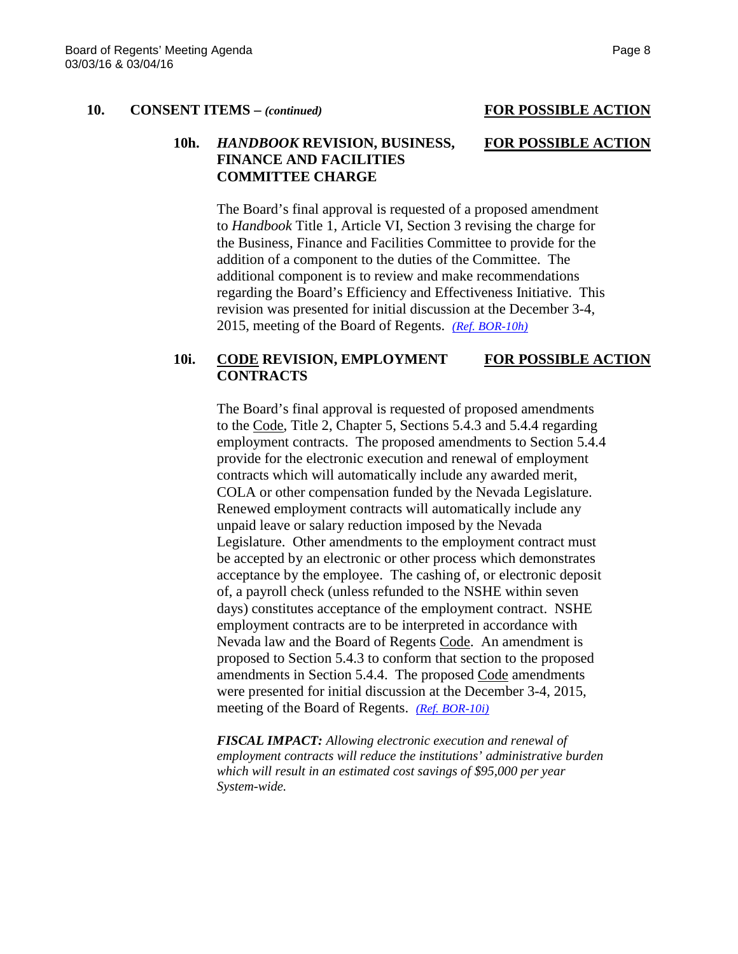### **10h.** *HANDBOOK* **REVISION, BUSINESS, FOR POSSIBLE ACTION FINANCE AND FACILITIES COMMITTEE CHARGE**

The Board's final approval is requested of a proposed amendment to *Handbook* Title 1, Article VI, Section 3 revising the charge for the Business, Finance and Facilities Committee to provide for the addition of a component to the duties of the Committee. The additional component is to review and make recommendations regarding the Board's Efficiency and Effectiveness Initiative. This revision was presented for initial discussion at the December 3-4, 2015, meeting of the Board of Regents. *[\(Ref. BOR-10h\)](http://system.nevada.edu/tasks/sites/Nshe/assets/File/BoardOfRegents/Agendas/2016/mar-mtgs/bor-refs/BOR-10h.pdf)*

### **10i. CODE REVISION, EMPLOYMENT FOR POSSIBLE ACTION CONTRACTS**

The Board's final approval is requested of proposed amendments to the Code, Title 2, Chapter 5, Sections 5.4.3 and 5.4.4 regarding employment contracts. The proposed amendments to Section 5.4.4 provide for the electronic execution and renewal of employment contracts which will automatically include any awarded merit, COLA or other compensation funded by the Nevada Legislature. Renewed employment contracts will automatically include any unpaid leave or salary reduction imposed by the Nevada Legislature. Other amendments to the employment contract must be accepted by an electronic or other process which demonstrates acceptance by the employee. The cashing of, or electronic deposit of, a payroll check (unless refunded to the NSHE within seven days) constitutes acceptance of the employment contract. NSHE employment contracts are to be interpreted in accordance with Nevada law and the Board of Regents Code. An amendment is proposed to Section 5.4.3 to conform that section to the proposed amendments in Section 5.4.4. The proposed Code amendments were presented for initial discussion at the December 3-4, 2015, meeting of the Board of Regents. *[\(Ref. BOR-10i\)](http://system.nevada.edu/tasks/sites/Nshe/assets/File/BoardOfRegents/Agendas/2016/mar-mtgs/bor-refs/BOR-10i.pdf)*

*FISCAL IMPACT: Allowing electronic execution and renewal of employment contracts will reduce the institutions' administrative burden which will result in an estimated cost savings of \$95,000 per year System-wide.*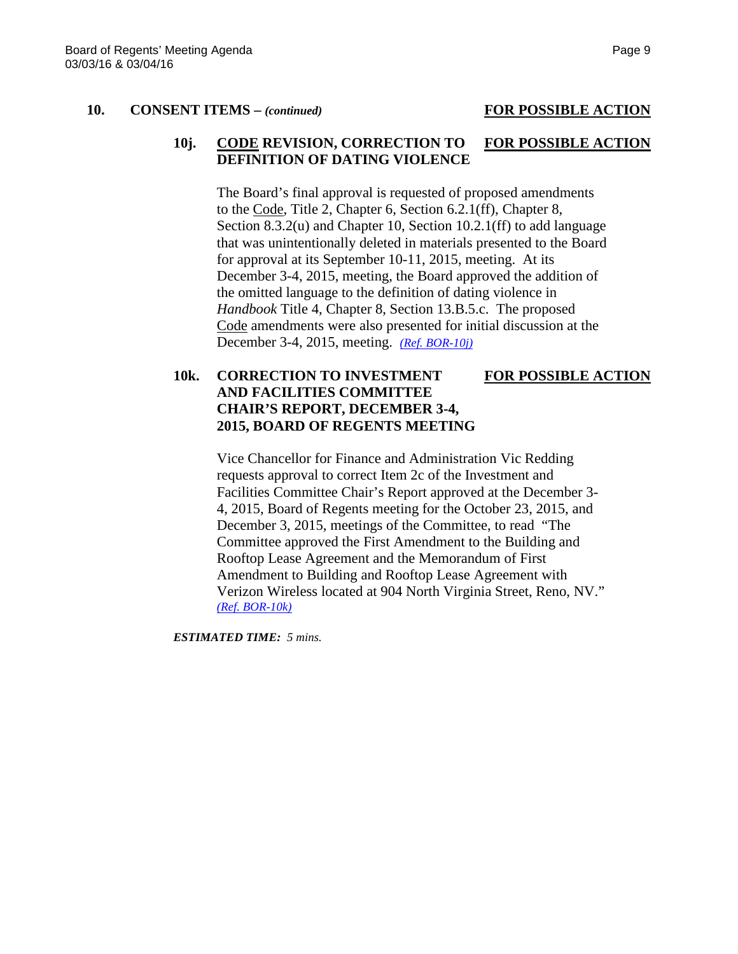### **10j. CODE REVISION, CORRECTION TO FOR POSSIBLE ACTION DEFINITION OF DATING VIOLENCE**

The Board's final approval is requested of proposed amendments to the Code, Title 2, Chapter 6, Section 6.2.1(ff), Chapter 8, Section 8.3.2(u) and Chapter 10, Section 10.2.1(ff) to add language that was unintentionally deleted in materials presented to the Board for approval at its September 10-11, 2015, meeting. At its December 3-4, 2015, meeting, the Board approved the addition of the omitted language to the definition of dating violence in *Handbook* Title 4, Chapter 8, Section 13.B.5.c. The proposed Code amendments were also presented for initial discussion at the December 3-4, 2015, meeting. *[\(Ref. BOR-10j\)](http://system.nevada.edu/tasks/sites/Nshe/assets/File/BoardOfRegents/Agendas/2016/mar-mtgs/bor-refs/BOR-10j.pdf)*

# **10k. CORRECTION TO INVESTMENT FOR POSSIBLE ACTION AND FACILITIES COMMITTEE CHAIR'S REPORT, DECEMBER 3-4, 2015, BOARD OF REGENTS MEETING**

Vice Chancellor for Finance and Administration Vic Redding requests approval to correct Item 2c of the Investment and Facilities Committee Chair's Report approved at the December 3- 4, 2015, Board of Regents meeting for the October 23, 2015, and December 3, 2015, meetings of the Committee, to read "The Committee approved the First Amendment to the Building and Rooftop Lease Agreement and the Memorandum of First Amendment to Building and Rooftop Lease Agreement with Verizon Wireless located at 904 North Virginia Street, Reno, NV." *[\(Ref. BOR-10k\)](http://system.nevada.edu/tasks/sites/Nshe/assets/File/BoardOfRegents/Agendas/2016/mar-mtgs/bor-refs/BOR-10k.pdf)*

*ESTIMATED TIME: 5 mins.*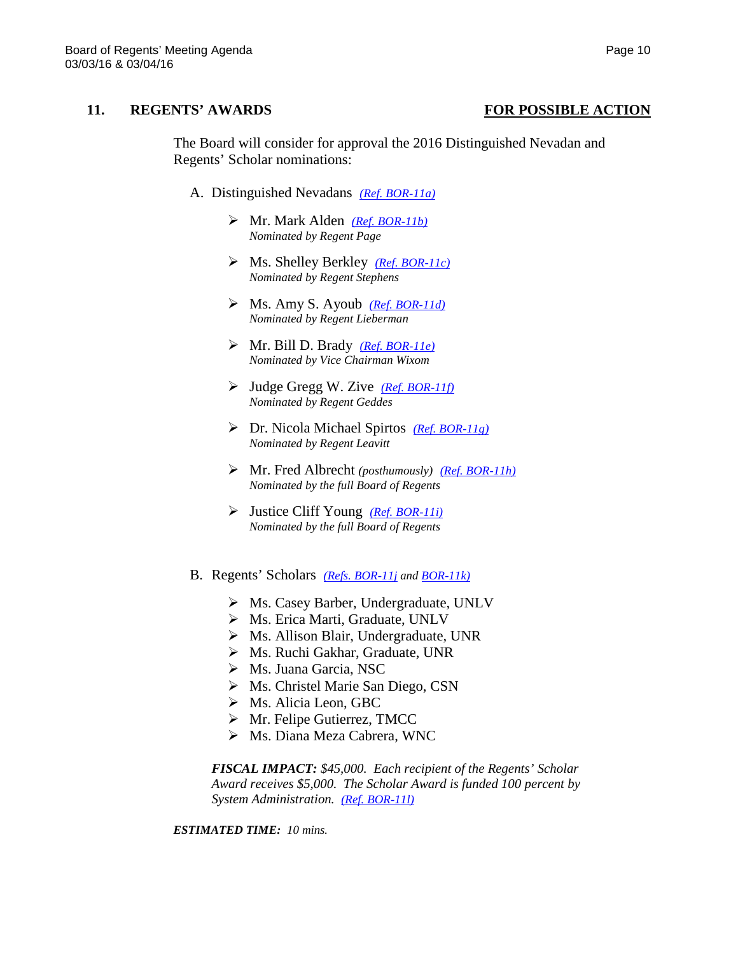### **11. REGENTS' AWARDS FOR POSSIBLE ACTION**

The Board will consider for approval the 2016 Distinguished Nevadan and Regents' Scholar nominations:

- A. Distinguished Nevadans *[\(Ref. BOR-11a\)](http://system.nevada.edu/tasks/sites/Nshe/assets/File/BoardOfRegents/Agendas/2016/mar-mtgs/bor-refs/BOR-11a.pdf)*
	- Mr. Mark Alden *[\(Ref. BOR-11b\)](http://system.nevada.edu/tasks/sites/Nshe/assets/File/BoardOfRegents/Agendas/2016/mar-mtgs/bor-refs/BOR-11b.pdf) Nominated by Regent Page*
	- Ms. Shelley Berkley *[\(Ref. BOR-11c\)](http://system.nevada.edu/tasks/sites/Nshe/assets/File/BoardOfRegents/Agendas/2016/mar-mtgs/bor-refs/BOR-11c.pdf) Nominated by Regent Stephens*
	- Ms. Amy S. Ayoub *[\(Ref. BOR-11d\)](http://system.nevada.edu/tasks/sites/Nshe/assets/File/BoardOfRegents/Agendas/2016/mar-mtgs/bor-refs/BOR-11d.pdf) Nominated by Regent Lieberman*
	- Mr. Bill D. Brady *[\(Ref. BOR-11e\)](http://system.nevada.edu/tasks/sites/Nshe/assets/File/BoardOfRegents/Agendas/2016/mar-mtgs/bor-refs/BOR-11e.pdf) Nominated by Vice Chairman Wixom*
	- Judge Gregg W. Zive *[\(Ref. BOR-11f\)](http://system.nevada.edu/tasks/sites/Nshe/assets/File/BoardOfRegents/Agendas/2016/mar-mtgs/bor-refs/BOR-11f.pdf) Nominated by Regent Geddes*
	- Dr. Nicola Michael Spirtos *[\(Ref. BOR-11g\)](http://system.nevada.edu/tasks/sites/Nshe/assets/File/BoardOfRegents/Agendas/2016/mar-mtgs/bor-refs/BOR-11g.pdf) Nominated by Regent Leavitt*
	- Mr. Fred Albrecht *(posthumously) [\(Ref. BOR-11h\)](http://system.nevada.edu/tasks/sites/Nshe/assets/File/BoardOfRegents/Agendas/2016/mar-mtgs/bor-refs/BOR-11h.pdf) Nominated by the full Board of Regents*
	- Justice Cliff Young *[\(Ref. BOR-11i\)](http://system.nevada.edu/tasks/sites/Nshe/assets/File/BoardOfRegents/Agendas/2016/mar-mtgs/bor-refs/BOR-11i.pdf) Nominated by the full Board of Regents*
- B. Regents' Scholars *[\(Refs. BOR-11j](http://system.nevada.edu/tasks/sites/Nshe/assets/File/BoardOfRegents/Agendas/2016/mar-mtgs/bor-refs/BOR-11j.pdf) an[d BOR-11k\)](http://system.nevada.edu/tasks/sites/Nshe/assets/File/BoardOfRegents/Agendas/2016/mar-mtgs/bor-refs/BOR-11k.pdf)*
	- Ms. Casey Barber, Undergraduate, UNLV
	- Ms. Erica Marti, Graduate, UNLV
	- Ms. Allison Blair, Undergraduate, UNR
	- Ms. Ruchi Gakhar, Graduate, UNR
	- Ms. Juana Garcia, NSC
	- Ms. Christel Marie San Diego, CSN
	- Ms. Alicia Leon, GBC
	- Mr. Felipe Gutierrez, TMCC
	- Ms. Diana Meza Cabrera, WNC

*FISCAL IMPACT: \$45,000. Each recipient of the Regents' Scholar Award receives \$5,000. The Scholar Award is funded 100 percent by System Administration. [\(Ref. BOR-11l\)](http://system.nevada.edu/tasks/sites/Nshe/assets/File/BoardOfRegents/Agendas/2016/mar-mtgs/bor-refs/BOR-11l.pdf)*

*ESTIMATED TIME: 10 mins.*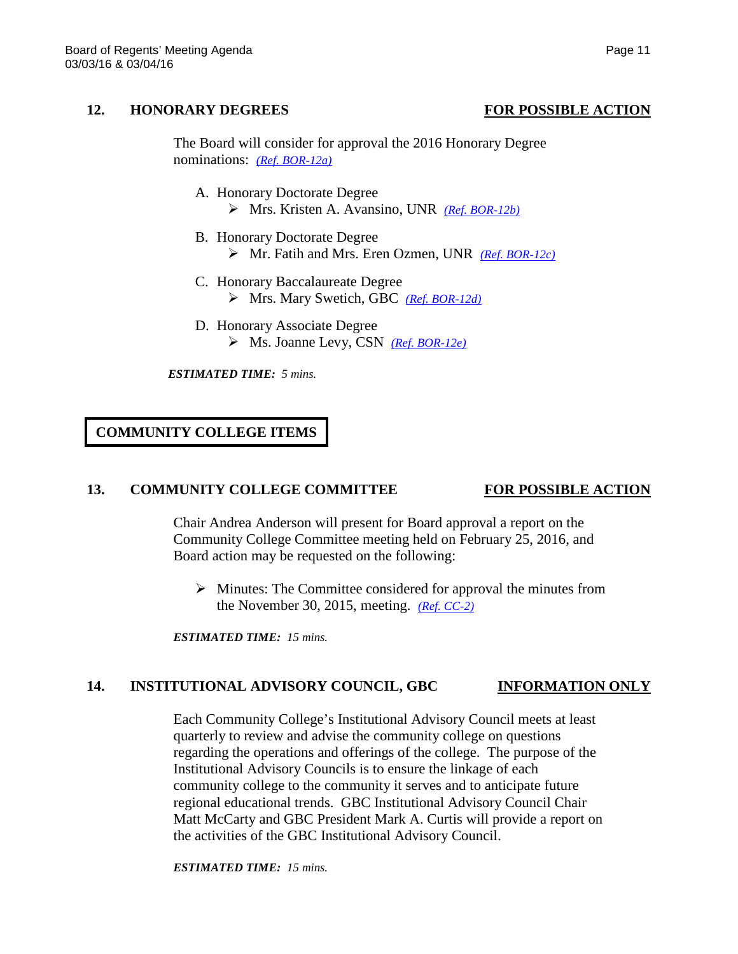### **12. HONORARY DEGREES FOR POSSIBLE ACTION**

The Board will consider for approval the 2016 Honorary Degree nominations: *[\(Ref. BOR-12a\)](http://system.nevada.edu/tasks/sites/Nshe/assets/File/BoardOfRegents/Agendas/2016/mar-mtgs/bor-refs/BOR-12a.pdf)*

- A. Honorary Doctorate Degree Mrs. Kristen A. Avansino, UNR *[\(Ref. BOR-12b\)](http://system.nevada.edu/tasks/sites/Nshe/assets/File/BoardOfRegents/Agendas/2016/mar-mtgs/bor-refs/BOR-12b.pdf)*
- B. Honorary Doctorate Degree Mr. Fatih and Mrs. Eren Ozmen, UNR *[\(Ref. BOR-12c\)](http://system.nevada.edu/tasks/sites/Nshe/assets/File/BoardOfRegents/Agendas/2016/mar-mtgs/bor-refs/BOR-12c.pdf)*
- C. Honorary Baccalaureate Degree Mrs. Mary Swetich, GBC *[\(Ref. BOR-12d\)](http://system.nevada.edu/tasks/sites/Nshe/assets/File/BoardOfRegents/Agendas/2016/mar-mtgs/bor-refs/BOR-12d.pdf)*
- D. Honorary Associate Degree Ms. Joanne Levy, CSN *[\(Ref. BOR-12e\)](http://system.nevada.edu/tasks/sites/Nshe/assets/File/BoardOfRegents/Agendas/2016/mar-mtgs/bor-refs/BOR-12e.pdf)*

*ESTIMATED TIME: 5 mins.*

**COMMUNITY COLLEGE ITEMS**

### **13. COMMUNITY COLLEGE COMMITTEE FOR POSSIBLE ACTION**

Chair Andrea Anderson will present for Board approval a report on the Community College Committee meeting held on February 25, 2016, and Board action may be requested on the following:

 $\triangleright$  Minutes: The Committee considered for approval the minutes from the November 30, 2015, meeting. *[\(Ref. CC-2\)](http://system.nevada.edu/tasks/sites/Nshe/assets/File/BoardOfRegents/Agendas/2016/feb-mtgs/cc-refs/CC-2.pdf)*

*ESTIMATED TIME: 15 mins.*

# **14. INSTITUTIONAL ADVISORY COUNCIL, GBC INFORMATION ONLY**

Each Community College's Institutional Advisory Council meets at least quarterly to review and advise the community college on questions regarding the operations and offerings of the college. The purpose of the Institutional Advisory Councils is to ensure the linkage of each community college to the community it serves and to anticipate future regional educational trends. GBC Institutional Advisory Council Chair Matt McCarty and GBC President Mark A. Curtis will provide a report on the activities of the GBC Institutional Advisory Council.

*ESTIMATED TIME: 15 mins.*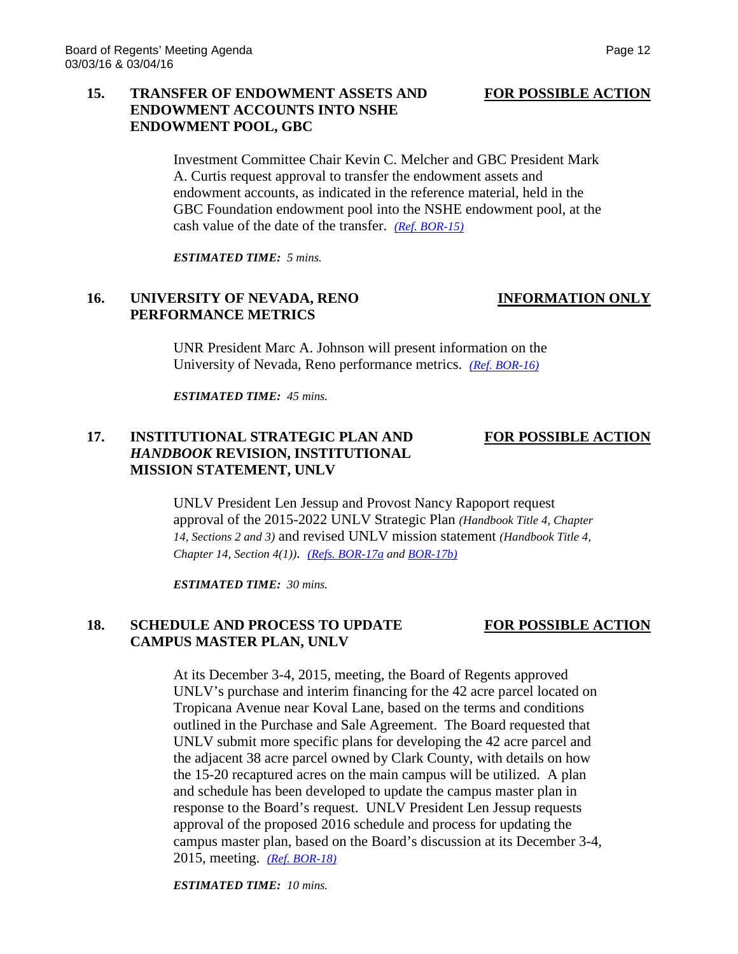# **15. TRANSFER OF ENDOWMENT ASSETS AND FOR POSSIBLE ACTION ENDOWMENT ACCOUNTS INTO NSHE ENDOWMENT POOL, GBC**

Investment Committee Chair Kevin C. Melcher and GBC President Mark A. Curtis request approval to transfer the endowment assets and endowment accounts, as indicated in the reference material, held in the GBC Foundation endowment pool into the NSHE endowment pool, at the cash value of the date of the transfer. *[\(Ref. BOR-15\)](http://system.nevada.edu/tasks/sites/Nshe/assets/File/BoardOfRegents/Agendas/2016/mar-mtgs/bor-refs/BOR-15.pdf)*

*ESTIMATED TIME: 5 mins.*

# **16. UNIVERSITY OF NEVADA, RENO INFORMATION ONLY PERFORMANCE METRICS**

UNR President Marc A. Johnson will present information on the

University of Nevada, Reno performance metrics. *[\(Ref. BOR-16\)](http://system.nevada.edu/tasks/sites/Nshe/assets/File/BoardOfRegents/Agendas/2016/mar-mtgs/bor-refs/BOR-16.pdf)*

*ESTIMATED TIME: 45 mins.*

## **17. INSTITUTIONAL STRATEGIC PLAN AND FOR POSSIBLE ACTION** *HANDBOOK* **REVISION, INSTITUTIONAL MISSION STATEMENT, UNLV**

UNLV President Len Jessup and Provost Nancy Rapoport request approval of the 2015-2022 UNLV Strategic Plan *(Handbook Title 4, Chapter 14, Sections 2 and 3)* and revised UNLV mission statement *(Handbook Title 4, Chapter 14, Section 4(1))*. *[\(Refs. BOR-17a](http://system.nevada.edu/tasks/sites/Nshe/assets/File/BoardOfRegents/Agendas/2016/mar-mtgs/bor-refs/BOR-17a.pdf) an[d BOR-17b\)](http://system.nevada.edu/tasks/sites/Nshe/assets/File/BoardOfRegents/Agendas/2016/mar-mtgs/bor-refs/BOR-17b.pdf)*

*ESTIMATED TIME: 30 mins.*

## **18. SCHEDULE AND PROCESS TO UPDATE FOR POSSIBLE ACTION CAMPUS MASTER PLAN, UNLV**

# At its December 3-4, 2015, meeting, the Board of Regents approved UNLV's purchase and interim financing for the 42 acre parcel located on Tropicana Avenue near Koval Lane, based on the terms and conditions outlined in the Purchase and Sale Agreement. The Board requested that UNLV submit more specific plans for developing the 42 acre parcel and the adjacent 38 acre parcel owned by Clark County, with details on how the 15-20 recaptured acres on the main campus will be utilized. A plan and schedule has been developed to update the campus master plan in response to the Board's request. UNLV President Len Jessup requests approval of the proposed 2016 schedule and process for updating the campus master plan, based on the Board's discussion at its December 3-4, 2015, meeting. *[\(Ref. BOR-18\)](http://system.nevada.edu/tasks/sites/Nshe/assets/File/BoardOfRegents/Agendas/2016/mar-mtgs/bor-refs/BOR-18.pdf)*

*ESTIMATED TIME: 10 mins.*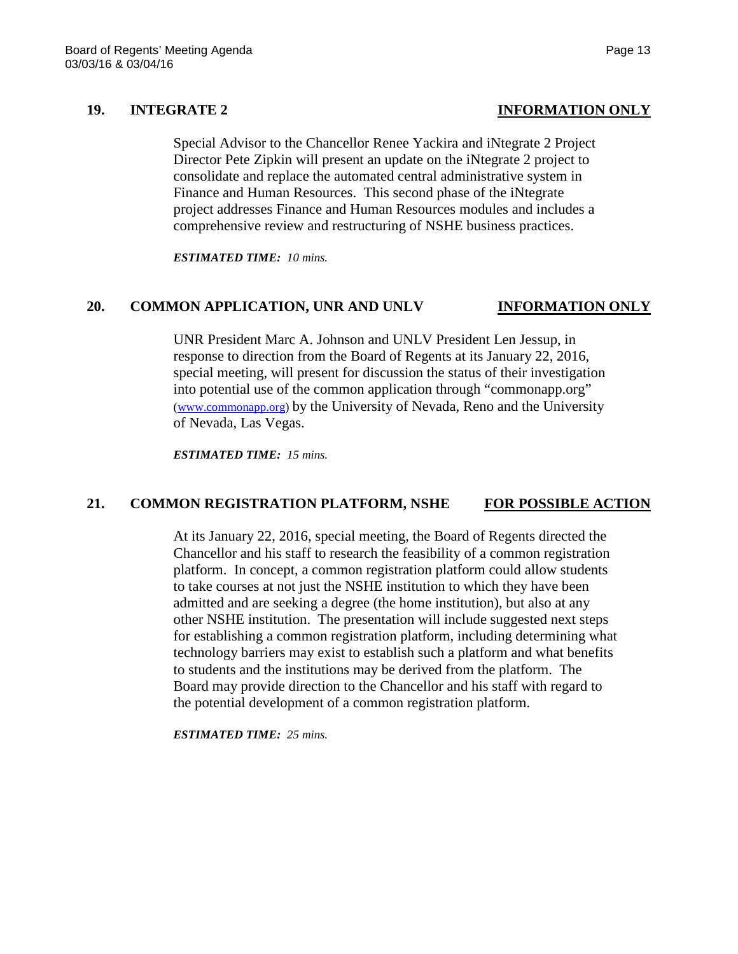Special Advisor to the Chancellor Renee Yackira and iNtegrate 2 Project Director Pete Zipkin will present an update on the iNtegrate 2 project to consolidate and replace the automated central administrative system in Finance and Human Resources. This second phase of the iNtegrate project addresses Finance and Human Resources modules and includes a comprehensive review and restructuring of NSHE business practices.

*ESTIMATED TIME: 10 mins.*

## **20. COMMON APPLICATION, UNR AND UNLV INFORMATION ONLY**

UNR President Marc A. Johnson and UNLV President Len Jessup, in response to direction from the Board of Regents at its January 22, 2016, special meeting, will present for discussion the status of their investigation into potential use of the common application through "commonapp.org" [\(www.commonapp.org\)](http://www.commonapp.org/) by the University of Nevada, Reno and the University of Nevada, Las Vegas.

*ESTIMATED TIME: 15 mins.*

### **21. COMMON REGISTRATION PLATFORM, NSHE FOR POSSIBLE ACTION**

At its January 22, 2016, special meeting, the Board of Regents directed the Chancellor and his staff to research the feasibility of a common registration platform. In concept, a common registration platform could allow students to take courses at not just the NSHE institution to which they have been admitted and are seeking a degree (the home institution), but also at any other NSHE institution. The presentation will include suggested next steps for establishing a common registration platform, including determining what technology barriers may exist to establish such a platform and what benefits to students and the institutions may be derived from the platform. The Board may provide direction to the Chancellor and his staff with regard to the potential development of a common registration platform.

*ESTIMATED TIME: 25 mins.*

# **19. INTEGRATE 2 INFORMATION ONLY**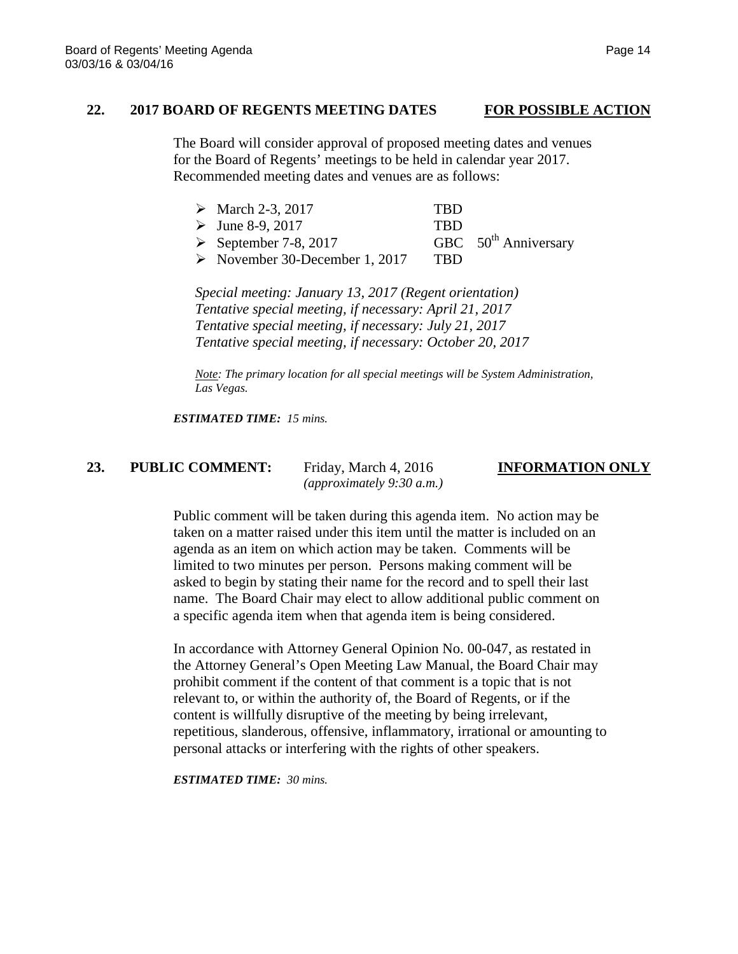### **22. 2017 BOARD OF REGENTS MEETING DATES FOR POSSIBLE ACTION**

The Board will consider approval of proposed meeting dates and venues for the Board of Regents' meetings to be held in calendar year 2017. Recommended meeting dates and venues are as follows:

| • March 2-3, 2017               | TRD.       |
|---------------------------------|------------|
| $\triangleright$ June 8-9, 2017 | <b>TRD</b> |

 $\triangleright$  September 7-8, 2017 GBC 50<sup>th</sup> Anniversary

November 30-December 1, 2017 TBD

*Special meeting: January 13, 2017 (Regent orientation) Tentative special meeting, if necessary: April 21, 2017 Tentative special meeting, if necessary: July 21, 2017 Tentative special meeting, if necessary: October 20, 2017*

*Note: The primary location for all special meetings will be System Administration, Las Vegas.*

*ESTIMATED TIME: 15 mins.*

# **23. PUBLIC COMMENT:** Friday, March 4, 2016 **INFORMATION ONLY**

*(approximately 9:30 a.m.)*

Public comment will be taken during this agenda item. No action may be taken on a matter raised under this item until the matter is included on an agenda as an item on which action may be taken. Comments will be limited to two minutes per person. Persons making comment will be asked to begin by stating their name for the record and to spell their last name. The Board Chair may elect to allow additional public comment on a specific agenda item when that agenda item is being considered.

In accordance with Attorney General Opinion No. 00-047, as restated in the Attorney General's Open Meeting Law Manual, the Board Chair may prohibit comment if the content of that comment is a topic that is not relevant to, or within the authority of, the Board of Regents, or if the content is willfully disruptive of the meeting by being irrelevant, repetitious, slanderous, offensive, inflammatory, irrational or amounting to personal attacks or interfering with the rights of other speakers.

*ESTIMATED TIME: 30 mins.*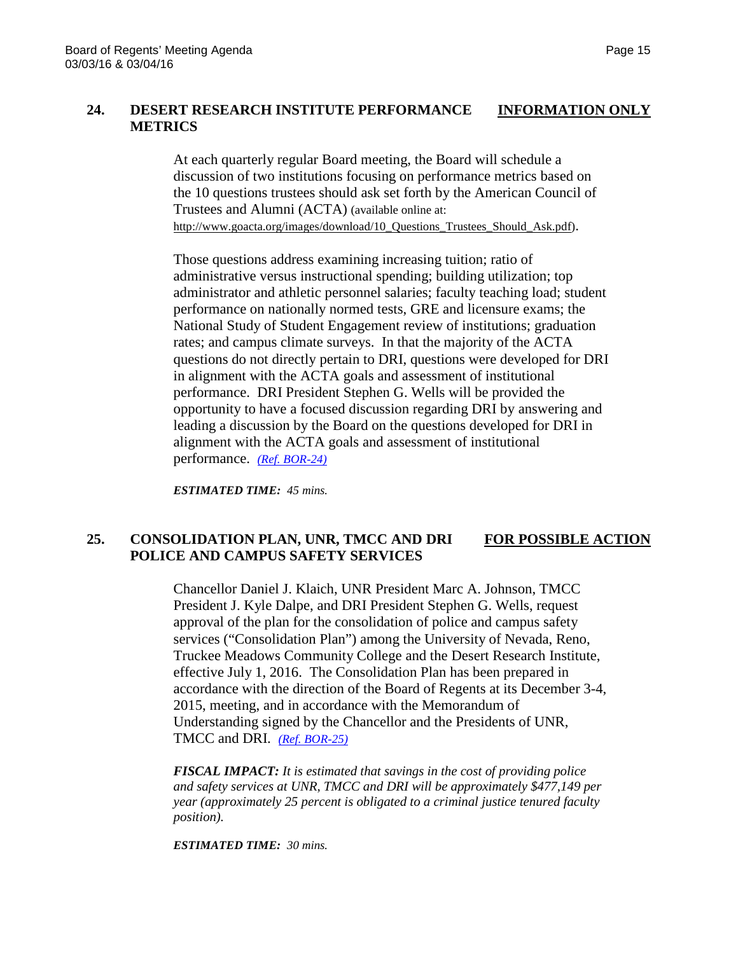# **24. DESERT RESEARCH INSTITUTE PERFORMANCE INFORMATION ONLY METRICS**

At each quarterly regular Board meeting, the Board will schedule a discussion of two institutions focusing on performance metrics based on the 10 questions trustees should ask set forth by the American Council of Trustees and Alumni (ACTA) (available online at: [http://www.goacta.org/images/download/10\\_Questions\\_Trustees\\_Should\\_Ask.pdf\)](http://www.goacta.org/images/download/10_Questions_Trustees_Should_Ask.pdf).

Those questions address examining increasing tuition; ratio of administrative versus instructional spending; building utilization; top administrator and athletic personnel salaries; faculty teaching load; student performance on nationally normed tests, GRE and licensure exams; the National Study of Student Engagement review of institutions; graduation rates; and campus climate surveys. In that the majority of the ACTA questions do not directly pertain to DRI, questions were developed for DRI in alignment with the ACTA goals and assessment of institutional performance. DRI President Stephen G. Wells will be provided the opportunity to have a focused discussion regarding DRI by answering and leading a discussion by the Board on the questions developed for DRI in alignment with the ACTA goals and assessment of institutional performance. *[\(Ref. BOR-24\)](http://system.nevada.edu/tasks/sites/Nshe/assets/File/BoardOfRegents/Agendas/2016/mar-mtgs/bor-refs/BOR-24.pdf)*

*ESTIMATED TIME: 45 mins.*

## **25. CONSOLIDATION PLAN, UNR, TMCC AND DRI FOR POSSIBLE ACTION POLICE AND CAMPUS SAFETY SERVICES**

Chancellor Daniel J. Klaich, UNR President Marc A. Johnson, TMCC President J. Kyle Dalpe, and DRI President Stephen G. Wells, request approval of the plan for the consolidation of police and campus safety services ("Consolidation Plan") among the University of Nevada, Reno, Truckee Meadows Community College and the Desert Research Institute, effective July 1, 2016. The Consolidation Plan has been prepared in accordance with the direction of the Board of Regents at its December 3-4, 2015, meeting, and in accordance with the Memorandum of Understanding signed by the Chancellor and the Presidents of UNR, TMCC and DRI. *[\(Ref. BOR-25\)](http://system.nevada.edu/tasks/sites/Nshe/assets/File/BoardOfRegents/Agendas/2016/mar-mtgs/bor-refs/BOR-25.pdf)*

*FISCAL IMPACT: It is estimated that savings in the cost of providing police and safety services at UNR, TMCC and DRI will be approximately \$477,149 per year (approximately 25 percent is obligated to a criminal justice tenured faculty position).*

*ESTIMATED TIME: 30 mins.*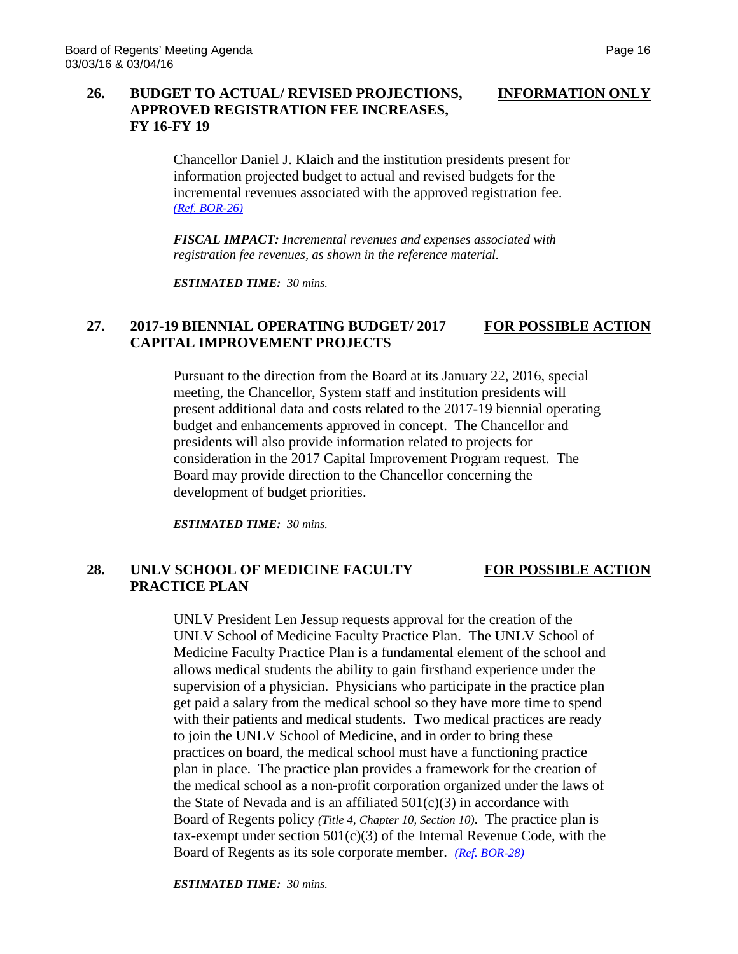### **26. BUDGET TO ACTUAL/ REVISED PROJECTIONS, INFORMATION ONLY**

# **APPROVED REGISTRATION FEE INCREASES, FY 16-FY 19**

Chancellor Daniel J. Klaich and the institution presidents present for information projected budget to actual and revised budgets for the incremental revenues associated with the approved registration fee. *[\(Ref. BOR-26\)](http://system.nevada.edu/tasks/sites/Nshe/assets/File/BoardOfRegents/Agendas/2016/mar-mtgs/bor-refs/BOR-26.pdf)*

*FISCAL IMPACT: Incremental revenues and expenses associated with registration fee revenues, as shown in the reference material.*

*ESTIMATED TIME: 30 mins.*

# **27. 2017-19 BIENNIAL OPERATING BUDGET/ 2017 FOR POSSIBLE ACTION CAPITAL IMPROVEMENT PROJECTS**

Pursuant to the direction from the Board at its January 22, 2016, special meeting, the Chancellor, System staff and institution presidents will present additional data and costs related to the 2017-19 biennial operating budget and enhancements approved in concept. The Chancellor and presidents will also provide information related to projects for consideration in the 2017 Capital Improvement Program request. The Board may provide direction to the Chancellor concerning the development of budget priorities.

*ESTIMATED TIME: 30 mins.*

### **28. UNLV SCHOOL OF MEDICINE FACULTY FOR POSSIBLE ACTION PRACTICE PLAN**

UNLV President Len Jessup requests approval for the creation of the UNLV School of Medicine Faculty Practice Plan. The UNLV School of Medicine Faculty Practice Plan is a fundamental element of the school and allows medical students the ability to gain firsthand experience under the supervision of a physician. Physicians who participate in the practice plan get paid a salary from the medical school so they have more time to spend with their patients and medical students. Two medical practices are ready to join the UNLV School of Medicine, and in order to bring these practices on board, the medical school must have a functioning practice plan in place. The practice plan provides a framework for the creation of the medical school as a non-profit corporation organized under the laws of the State of Nevada and is an affiliated  $501(c)(3)$  in accordance with Board of Regents policy *(Title 4, Chapter 10, Section 10)*. The practice plan is tax-exempt under section  $501(c)(3)$  of the Internal Revenue Code, with the Board of Regents as its sole corporate member. *[\(Ref. BOR-28\)](http://system.nevada.edu/tasks/sites/Nshe/assets/File/BoardOfRegents/Agendas/2016/mar-mtgs/bor-refs/BOR-28.pdf)*

*ESTIMATED TIME: 30 mins.*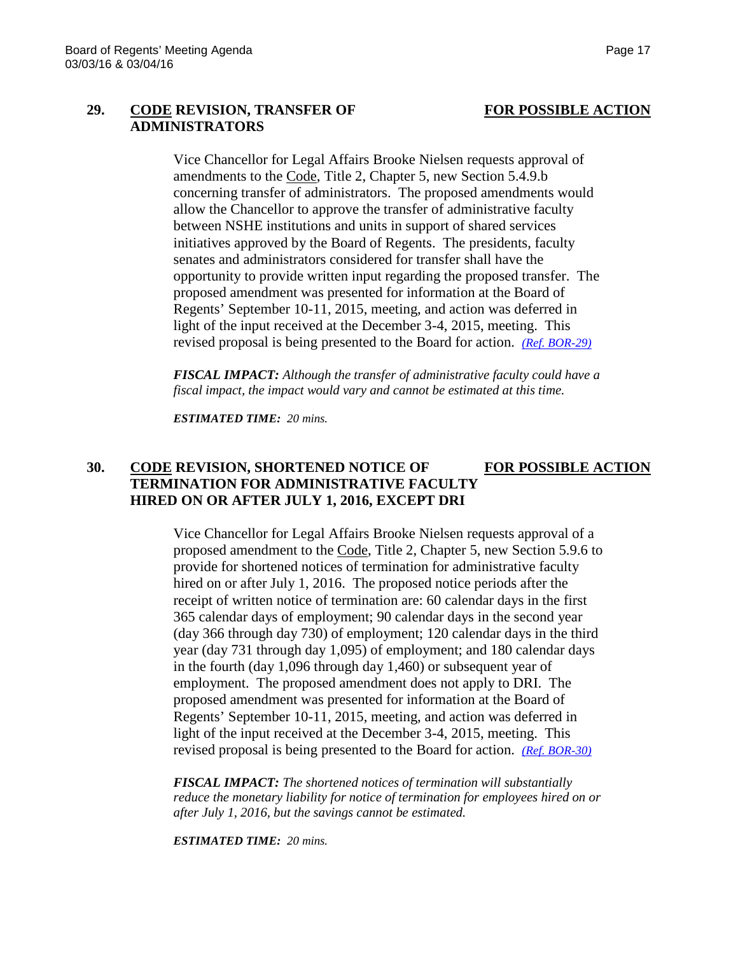### **29. CODE REVISION, TRANSFER OF FOR POSSIBLE ACTION ADMINISTRATORS**

Vice Chancellor for Legal Affairs Brooke Nielsen requests approval of amendments to the Code, Title 2, Chapter 5, new Section 5.4.9.b concerning transfer of administrators. The proposed amendments would allow the Chancellor to approve the transfer of administrative faculty between NSHE institutions and units in support of shared services initiatives approved by the Board of Regents. The presidents, faculty senates and administrators considered for transfer shall have the opportunity to provide written input regarding the proposed transfer. The proposed amendment was presented for information at the Board of Regents' September 10-11, 2015, meeting, and action was deferred in light of the input received at the December 3-4, 2015, meeting. This revised proposal is being presented to the Board for action. *[\(Ref. BOR-29\)](http://system.nevada.edu/tasks/sites/Nshe/assets/File/BoardOfRegents/Agendas/2016/mar-mtgs/bor-refs/BOR-29.pdf)*

*FISCAL IMPACT: Although the transfer of administrative faculty could have a fiscal impact, the impact would vary and cannot be estimated at this time.*

*ESTIMATED TIME: 20 mins.*

# **30. CODE REVISION, SHORTENED NOTICE OF FOR POSSIBLE ACTION TERMINATION FOR ADMINISTRATIVE FACULTY HIRED ON OR AFTER JULY 1, 2016, EXCEPT DRI**

Vice Chancellor for Legal Affairs Brooke Nielsen requests approval of a proposed amendment to the Code, Title 2, Chapter 5, new Section 5.9.6 to provide for shortened notices of termination for administrative faculty hired on or after July 1, 2016. The proposed notice periods after the receipt of written notice of termination are: 60 calendar days in the first 365 calendar days of employment; 90 calendar days in the second year (day 366 through day 730) of employment; 120 calendar days in the third year (day 731 through day 1,095) of employment; and 180 calendar days in the fourth (day 1,096 through day 1,460) or subsequent year of employment. The proposed amendment does not apply to DRI. The proposed amendment was presented for information at the Board of Regents' September 10-11, 2015, meeting, and action was deferred in light of the input received at the December 3-4, 2015, meeting. This revised proposal is being presented to the Board for action. *[\(Ref. BOR-30\)](http://system.nevada.edu/tasks/sites/Nshe/assets/File/BoardOfRegents/Agendas/2016/mar-mtgs/bor-refs/BOR-30.pdf)*

*FISCAL IMPACT: The shortened notices of termination will substantially reduce the monetary liability for notice of termination for employees hired on or after July 1, 2016, but the savings cannot be estimated.*

*ESTIMATED TIME: 20 mins.*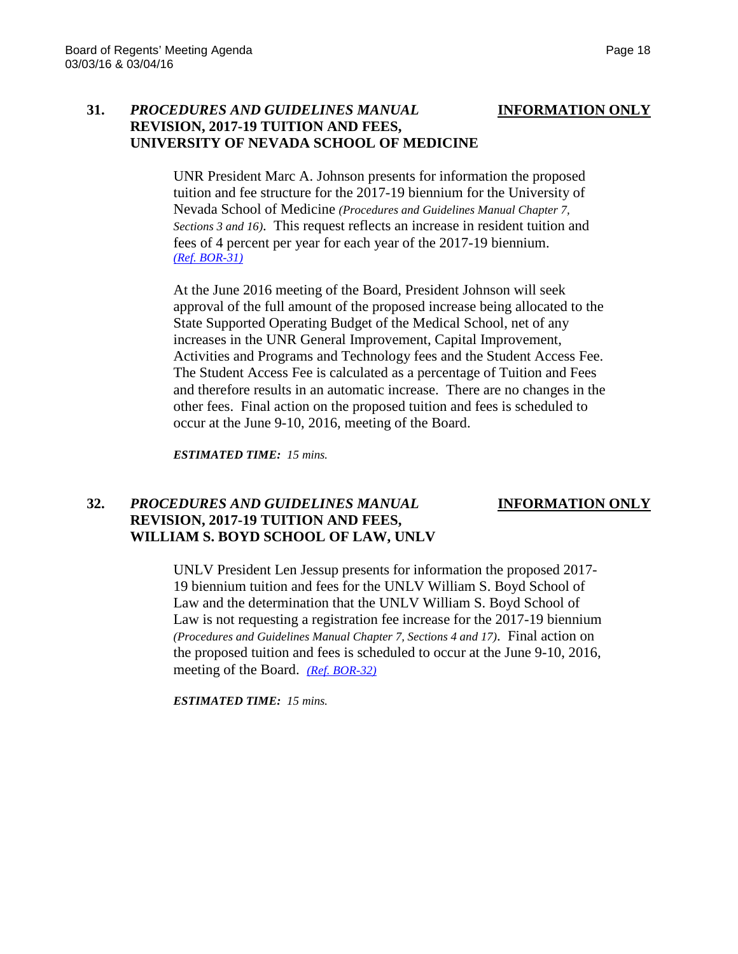### **31.** *PROCEDURES AND GUIDELINES MANUAL* **INFORMATION ONLY REVISION, 2017-19 TUITION AND FEES, UNIVERSITY OF NEVADA SCHOOL OF MEDICINE**

UNR President Marc A. Johnson presents for information the proposed tuition and fee structure for the 2017-19 biennium for the University of Nevada School of Medicine *(Procedures and Guidelines Manual Chapter 7, Sections 3 and 16)*. This request reflects an increase in resident tuition and fees of 4 percent per year for each year of the 2017-19 biennium. *[\(Ref. BOR-31\)](http://system.nevada.edu/tasks/sites/Nshe/assets/File/BoardOfRegents/Agendas/2016/mar-mtgs/bor-refs/BOR-31.pdf)*

At the June 2016 meeting of the Board, President Johnson will seek approval of the full amount of the proposed increase being allocated to the State Supported Operating Budget of the Medical School, net of any increases in the UNR General Improvement, Capital Improvement, Activities and Programs and Technology fees and the Student Access Fee. The Student Access Fee is calculated as a percentage of Tuition and Fees and therefore results in an automatic increase. There are no changes in the other fees. Final action on the proposed tuition and fees is scheduled to occur at the June 9-10, 2016, meeting of the Board.

*ESTIMATED TIME: 15 mins.*

### **32.** *PROCEDURES AND GUIDELINES MANUAL* **INFORMATION ONLY REVISION, 2017-19 TUITION AND FEES, WILLIAM S. BOYD SCHOOL OF LAW, UNLV**

UNLV President Len Jessup presents for information the proposed 2017- 19 biennium tuition and fees for the UNLV William S. Boyd School of Law and the determination that the UNLV William S. Boyd School of Law is not requesting a registration fee increase for the 2017-19 biennium *(Procedures and Guidelines Manual Chapter 7, Sections 4 and 17)*. Final action on the proposed tuition and fees is scheduled to occur at the June 9-10, 2016, meeting of the Board. *[\(Ref. BOR-32\)](http://system.nevada.edu/tasks/sites/Nshe/assets/File/BoardOfRegents/Agendas/2016/mar-mtgs/bor-refs/BOR-32.pdf)*

*ESTIMATED TIME: 15 mins.*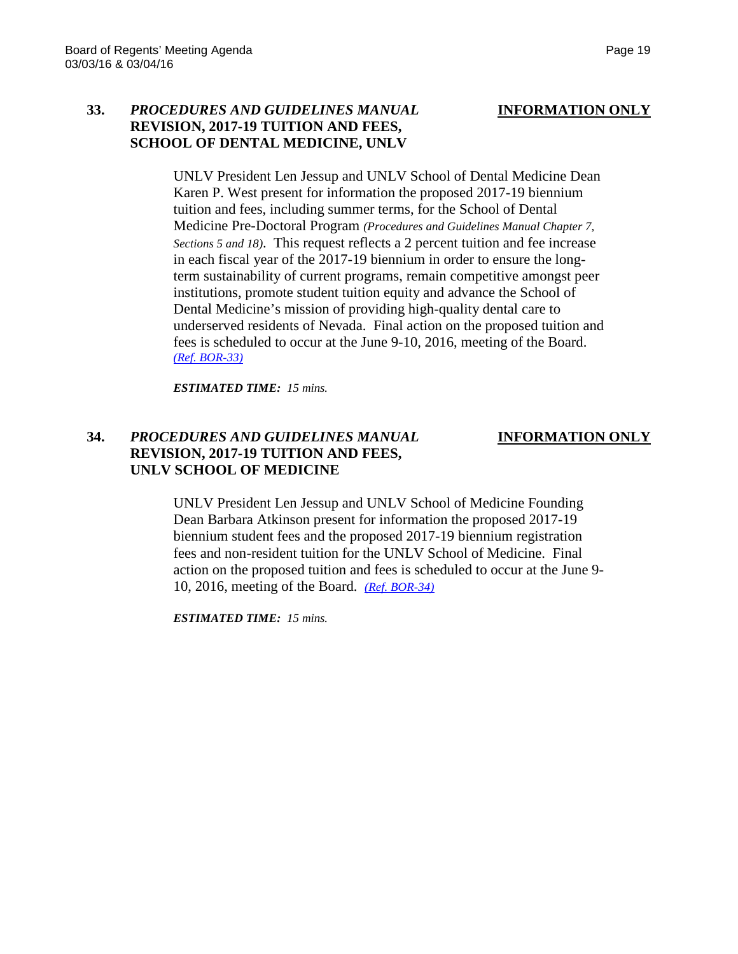### **33.** *PROCEDURES AND GUIDELINES MANUAL* **INFORMATION ONLY REVISION, 2017-19 TUITION AND FEES, SCHOOL OF DENTAL MEDICINE, UNLV**

UNLV President Len Jessup and UNLV School of Dental Medicine Dean Karen P. West present for information the proposed 2017-19 biennium tuition and fees, including summer terms, for the School of Dental Medicine Pre-Doctoral Program *(Procedures and Guidelines Manual Chapter 7, Sections 5 and 18)*. This request reflects a 2 percent tuition and fee increase in each fiscal year of the 2017-19 biennium in order to ensure the longterm sustainability of current programs, remain competitive amongst peer institutions, promote student tuition equity and advance the School of Dental Medicine's mission of providing high-quality dental care to underserved residents of Nevada. Final action on the proposed tuition and fees is scheduled to occur at the June 9-10, 2016, meeting of the Board. *[\(Ref. BOR-33\)](http://system.nevada.edu/tasks/sites/Nshe/assets/File/BoardOfRegents/Agendas/2016/mar-mtgs/bor-refs/BOR-33.pdf)*

*ESTIMATED TIME: 15 mins.*

### **34.** *PROCEDURES AND GUIDELINES MANUAL* **INFORMATION ONLY REVISION, 2017-19 TUITION AND FEES, UNLV SCHOOL OF MEDICINE**

UNLV President Len Jessup and UNLV School of Medicine Founding Dean Barbara Atkinson present for information the proposed 2017-19 biennium student fees and the proposed 2017-19 biennium registration fees and non-resident tuition for the UNLV School of Medicine. Final action on the proposed tuition and fees is scheduled to occur at the June 9- 10, 2016, meeting of the Board. *[\(Ref. BOR-34\)](http://system.nevada.edu/tasks/sites/Nshe/assets/File/BoardOfRegents/Agendas/2016/mar-mtgs/bor-refs/BOR-34.pdf)*

*ESTIMATED TIME: 15 mins.*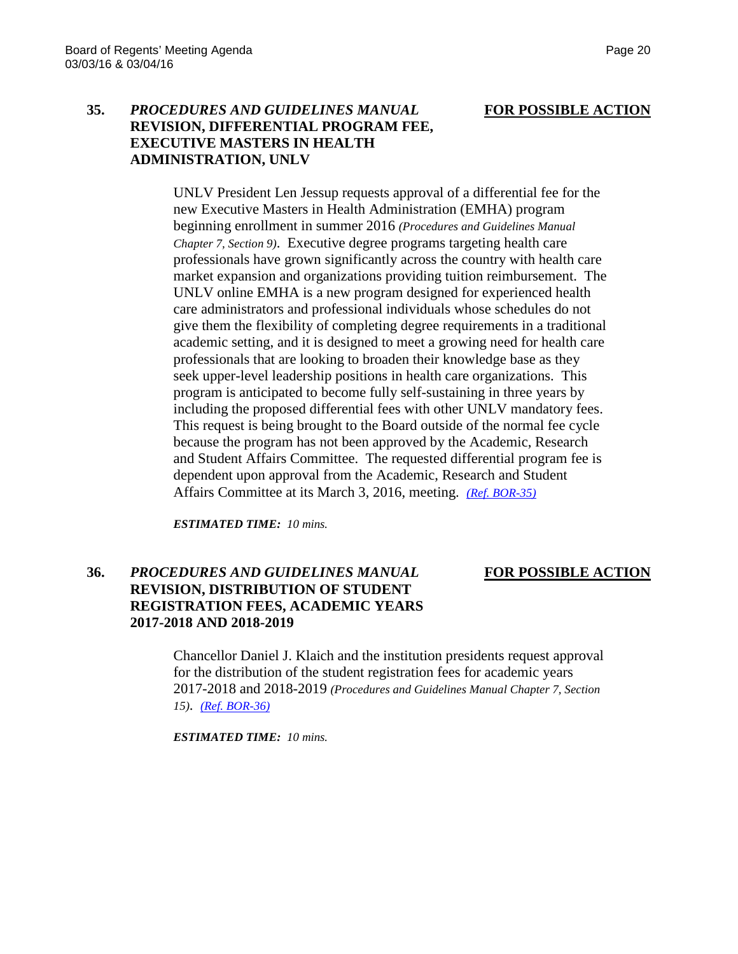### **35.** *PROCEDURES AND GUIDELINES MANUAL* **FOR POSSIBLE ACTION REVISION, DIFFERENTIAL PROGRAM FEE, EXECUTIVE MASTERS IN HEALTH ADMINISTRATION, UNLV**

UNLV President Len Jessup requests approval of a differential fee for the new Executive Masters in Health Administration (EMHA) program beginning enrollment in summer 2016 *(Procedures and Guidelines Manual Chapter 7, Section 9)*. Executive degree programs targeting health care professionals have grown significantly across the country with health care market expansion and organizations providing tuition reimbursement. The UNLV online EMHA is a new program designed for experienced health care administrators and professional individuals whose schedules do not give them the flexibility of completing degree requirements in a traditional academic setting, and it is designed to meet a growing need for health care professionals that are looking to broaden their knowledge base as they seek upper-level leadership positions in health care organizations. This program is anticipated to become fully self-sustaining in three years by including the proposed differential fees with other UNLV mandatory fees. This request is being brought to the Board outside of the normal fee cycle because the program has not been approved by the Academic, Research and Student Affairs Committee. The requested differential program fee is dependent upon approval from the Academic, Research and Student Affairs Committee at its March 3, 2016, meeting. *[\(Ref. BOR-35\)](http://system.nevada.edu/tasks/sites/Nshe/assets/File/BoardOfRegents/Agendas/2016/mar-mtgs/bor-refs/BOR-35.pdf)*

*ESTIMATED TIME: 10 mins.*

# **36.** *PROCEDURES AND GUIDELINES MANUAL* **FOR POSSIBLE ACTION REVISION, DISTRIBUTION OF STUDENT REGISTRATION FEES, ACADEMIC YEARS 2017-2018 AND 2018-2019**

Chancellor Daniel J. Klaich and the institution presidents request approval for the distribution of the student registration fees for academic years 2017-2018 and 2018-2019 *(Procedures and Guidelines Manual Chapter 7, Section 15)*. *[\(Ref. BOR-36\)](http://system.nevada.edu/tasks/sites/Nshe/assets/File/BoardOfRegents/Agendas/2016/mar-mtgs/bor-refs/BOR-36.pdf)*

*ESTIMATED TIME: 10 mins.*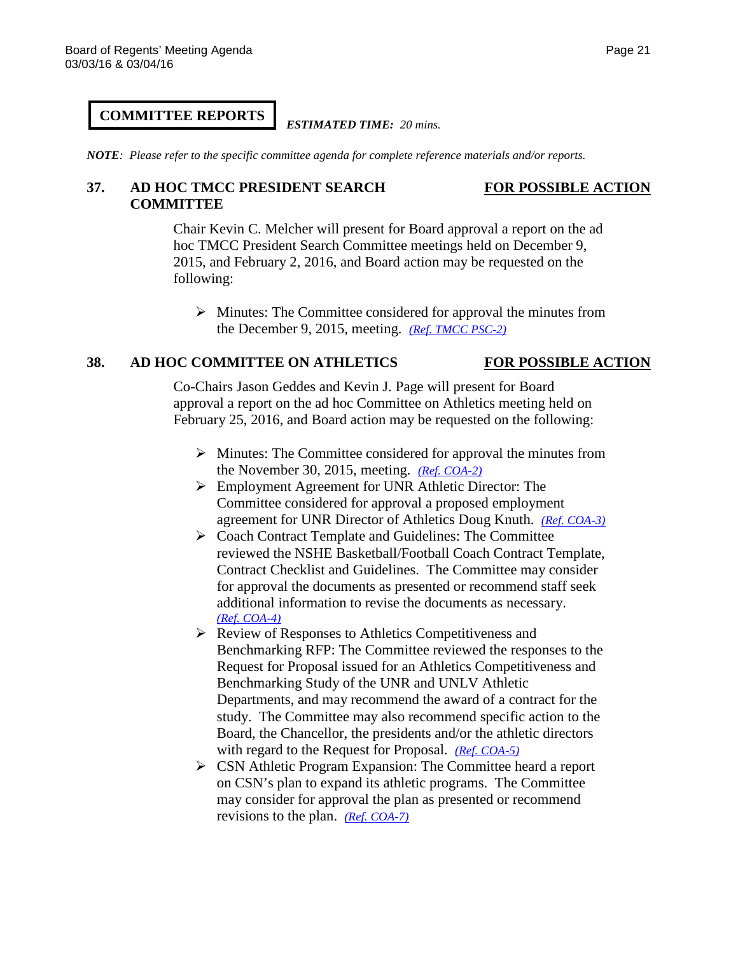### *ESTIMATED TIME: 20 mins.*

*NOTE: Please refer to the specific committee agenda for complete reference materials and/or reports.*

# **37. AD HOC TMCC PRESIDENT SEARCH FOR POSSIBLE ACTION COMMITTEE**

# Chair Kevin C. Melcher will present for Board approval a report on the ad hoc TMCC President Search Committee meetings held on December 9, 2015, and February 2, 2016, and Board action may be requested on the following:

 $\triangleright$  Minutes: The Committee considered for approval the minutes from the December 9, 2015, meeting. *[\(Ref. TMCC PSC-2\)](http://system.nevada.edu/tasks/sites/Nshe/assets/File/BoardOfRegents/Agendas/2016/feb-mtgs/tmccpres-refs/TMCC%20PSC-2.pdf)*

### **38. AD HOC COMMITTEE ON ATHLETICS FOR POSSIBLE ACTION**

Co-Chairs Jason Geddes and Kevin J. Page will present for Board approval a report on the ad hoc Committee on Athletics meeting held on February 25, 2016, and Board action may be requested on the following:

- $\triangleright$  Minutes: The Committee considered for approval the minutes from the November 30, 2015, meeting. *[\(Ref. COA-2\)](http://system.nevada.edu/tasks/sites/Nshe/assets/File/BoardOfRegents/Agendas/2016/feb-mtgs/athl-refs/COA-2.pdf)*
- Employment Agreement for UNR Athletic Director: The Committee considered for approval a proposed employment agreement for UNR Director of Athletics Doug Knuth. *[\(Ref. COA-3\)](http://system.nevada.edu/tasks/sites/Nshe/assets/File/BoardOfRegents/Agendas/2016/feb-mtgs/athl-refs/COA-3.pdf)*
- ▶ Coach Contract Template and Guidelines: The Committee reviewed the NSHE Basketball/Football Coach Contract Template, Contract Checklist and Guidelines. The Committee may consider for approval the documents as presented or recommend staff seek additional information to revise the documents as necessary. *[\(Ref. COA-4\)](http://system.nevada.edu/tasks/sites/Nshe/assets/File/BoardOfRegents/Agendas/2016/feb-mtgs/athl-refs/COA-4.pdf)*
- $\triangleright$  Review of Responses to Athletics Competitiveness and Benchmarking RFP: The Committee reviewed the responses to the Request for Proposal issued for an Athletics Competitiveness and Benchmarking Study of the UNR and UNLV Athletic Departments, and may recommend the award of a contract for the study. The Committee may also recommend specific action to the Board, the Chancellor, the presidents and/or the athletic directors with regard to the Request for Proposal. *[\(Ref. COA-5\)](http://system.nevada.edu/tasks/sites/Nshe/assets/File/BoardOfRegents/Agendas/2016/feb-mtgs/athl-refs/COA-5.pdf)*
- CSN Athletic Program Expansion: The Committee heard a report on CSN's plan to expand its athletic programs. The Committee may consider for approval the plan as presented or recommend revisions to the plan. *[\(Ref. COA-7\)](http://system.nevada.edu/tasks/sites/Nshe/assets/File/BoardOfRegents/Agendas/2016/feb-mtgs/athl-refs/COA-7.pdf)*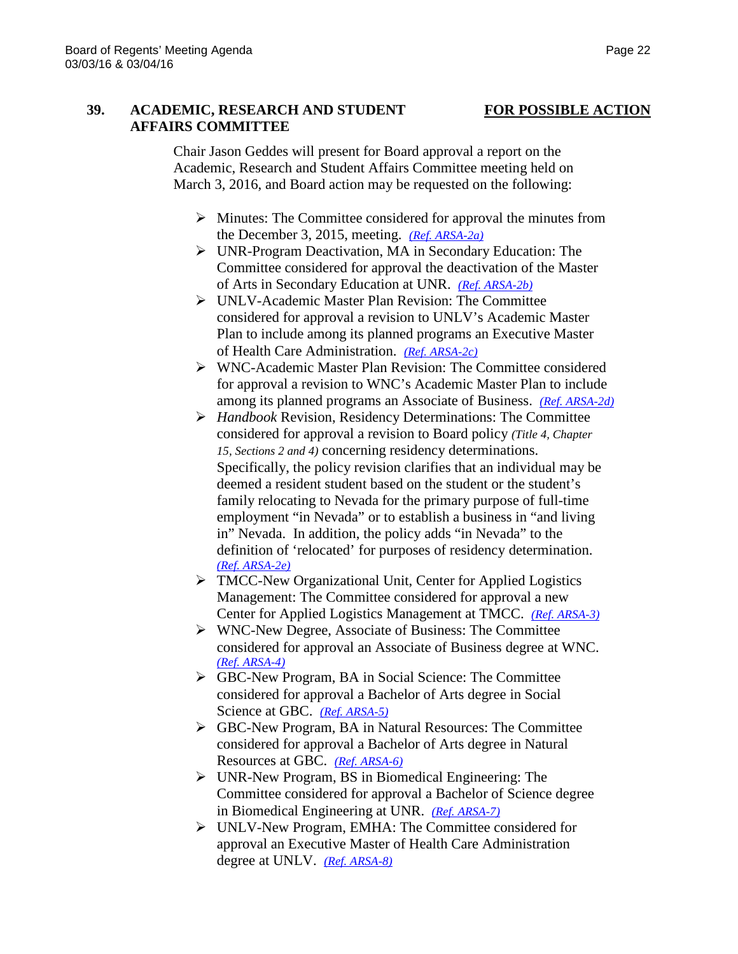# **39. ACADEMIC, RESEARCH AND STUDENT FOR POSSIBLE ACTION AFFAIRS COMMITTEE**

Chair Jason Geddes will present for Board approval a report on the Academic, Research and Student Affairs Committee meeting held on March 3, 2016, and Board action may be requested on the following:

- $\triangleright$  Minutes: The Committee considered for approval the minutes from the December 3, 2015, meeting. *[\(Ref. ARSA-2a\)](http://system.nevada.edu/tasks/sites/Nshe/assets/File/BoardOfRegents/Agendas/2016/mar-mtgs/arsa-refs/ARSA-2a.pdf)*
- UNR-Program Deactivation, MA in Secondary Education: The Committee considered for approval the deactivation of the Master of Arts in Secondary Education at UNR. *[\(Ref. ARSA-2b\)](http://system.nevada.edu/tasks/sites/Nshe/assets/File/BoardOfRegents/Agendas/2016/mar-mtgs/arsa-refs/ARSA-2b.pdf)*
- UNLV-Academic Master Plan Revision: The Committee considered for approval a revision to UNLV's Academic Master Plan to include among its planned programs an Executive Master of Health Care Administration. *[\(Ref. ARSA-2c\)](http://system.nevada.edu/tasks/sites/Nshe/assets/File/BoardOfRegents/Agendas/2016/mar-mtgs/arsa-refs/ARSA-2c.pdf)*
- WNC-Academic Master Plan Revision: The Committee considered for approval a revision to WNC's Academic Master Plan to include among its planned programs an Associate of Business. *[\(Ref. ARSA-2d\)](http://system.nevada.edu/tasks/sites/Nshe/assets/File/BoardOfRegents/Agendas/2016/mar-mtgs/arsa-refs/ARSA-2d.pdf)*
- *Handbook* Revision, Residency Determinations: The Committee considered for approval a revision to Board policy *(Title 4, Chapter 15, Sections 2 and 4)* concerning residency determinations. Specifically, the policy revision clarifies that an individual may be deemed a resident student based on the student or the student's family relocating to Nevada for the primary purpose of full-time employment "in Nevada" or to establish a business in "and living in" Nevada. In addition, the policy adds "in Nevada" to the definition of 'relocated' for purposes of residency determination. *[\(Ref. ARSA-2e\)](http://system.nevada.edu/tasks/sites/Nshe/assets/File/BoardOfRegents/Agendas/2016/mar-mtgs/arsa-refs/ARSA-2e.pdf)*
- TMCC-New Organizational Unit, Center for Applied Logistics Management: The Committee considered for approval a new Center for Applied Logistics Management at TMCC. *[\(Ref. ARSA-3\)](http://system.nevada.edu/tasks/sites/Nshe/assets/File/BoardOfRegents/Agendas/2016/mar-mtgs/arsa-refs/ARSA-3.pdf)*
- WNC-New Degree, Associate of Business: The Committee considered for approval an Associate of Business degree at WNC. *[\(Ref. ARSA-4\)](http://system.nevada.edu/tasks/sites/Nshe/assets/File/BoardOfRegents/Agendas/2016/mar-mtgs/arsa-refs/ARSA-4.pdf)*
- GBC-New Program, BA in Social Science: The Committee considered for approval a Bachelor of Arts degree in Social Science at GBC. *[\(Ref. ARSA-5\)](http://system.nevada.edu/tasks/sites/Nshe/assets/File/BoardOfRegents/Agendas/2016/mar-mtgs/arsa-refs/ARSA-5.pdf)*
- GBC-New Program, BA in Natural Resources: The Committee considered for approval a Bachelor of Arts degree in Natural Resources at GBC. *[\(Ref. ARSA-6\)](http://system.nevada.edu/tasks/sites/Nshe/assets/File/BoardOfRegents/Agendas/2016/mar-mtgs/arsa-refs/ARSA-6.pdf)*
- UNR-New Program, BS in Biomedical Engineering: The Committee considered for approval a Bachelor of Science degree in Biomedical Engineering at UNR. *[\(Ref. ARSA-7\)](http://system.nevada.edu/tasks/sites/Nshe/assets/File/BoardOfRegents/Agendas/2016/mar-mtgs/arsa-refs/ARSA-7.pdf)*
- UNLV-New Program, EMHA: The Committee considered for approval an Executive Master of Health Care Administration degree at UNLV. *[\(Ref. ARSA-8\)](http://system.nevada.edu/tasks/sites/Nshe/assets/File/BoardOfRegents/Agendas/2016/mar-mtgs/arsa-refs/ARSA-8.pdf)*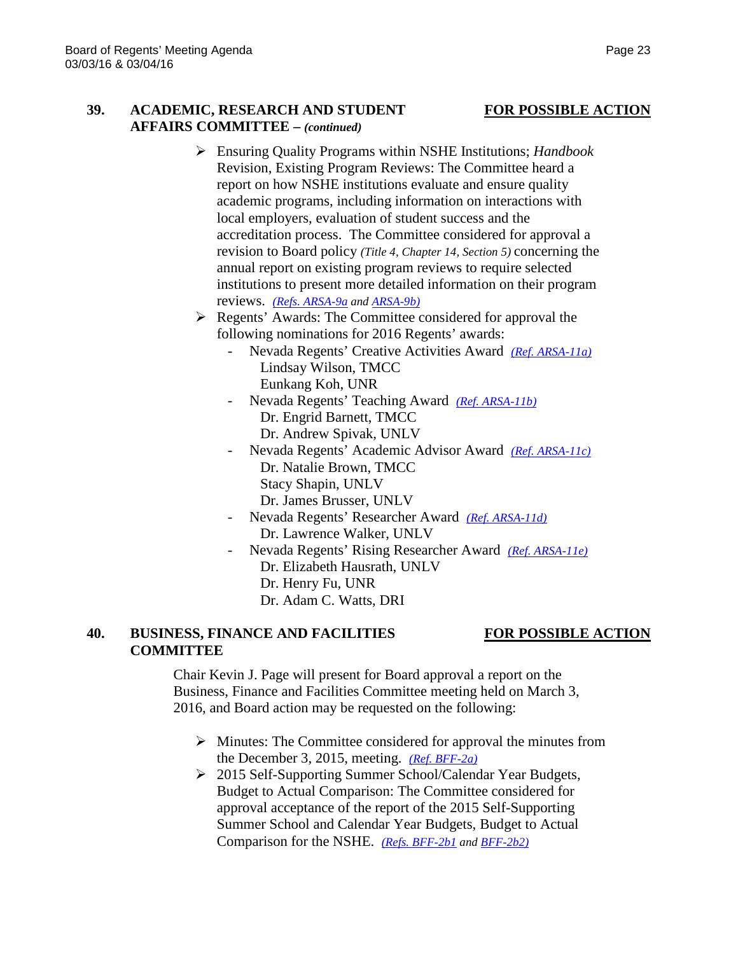## **39. ACADEMIC, RESEARCH AND STUDENT FOR POSSIBLE ACTION AFFAIRS COMMITTEE –** *(continued)*

- Ensuring Quality Programs within NSHE Institutions; *Handbook* Revision, Existing Program Reviews: The Committee heard a report on how NSHE institutions evaluate and ensure quality academic programs, including information on interactions with local employers, evaluation of student success and the accreditation process. The Committee considered for approval a revision to Board policy *(Title 4, Chapter 14, Section 5)* concerning the annual report on existing program reviews to require selected institutions to present more detailed information on their program reviews. *[\(Refs. ARSA-9a](http://system.nevada.edu/tasks/sites/Nshe/assets/File/BoardOfRegents/Agendas/2016/mar-mtgs/arsa-refs/ARSA-9a.pdf) an[d ARSA-9b\)](http://system.nevada.edu/tasks/sites/Nshe/assets/File/BoardOfRegents/Agendas/2016/mar-mtgs/arsa-refs/ARSA-9b.pdf)*
- Regents' Awards: The Committee considered for approval the following nominations for 2016 Regents' awards:
	- Nevada Regents' Creative Activities Award *[\(Ref. ARSA-11a\)](http://system.nevada.edu/tasks/sites/Nshe/assets/File/BoardOfRegents/Agendas/2016/mar-mtgs/arsa-refs/ARSA-11a.pdf)* Lindsay Wilson, TMCC Eunkang Koh, UNR
	- Nevada Regents' Teaching Award *[\(Ref. ARSA-11b\)](http://system.nevada.edu/tasks/sites/Nshe/assets/File/BoardOfRegents/Agendas/2016/mar-mtgs/arsa-refs/ARSA-11b.pdf)* Dr. Engrid Barnett, TMCC Dr. Andrew Spivak, UNLV
	- Nevada Regents' Academic Advisor Award *[\(Ref. ARSA-11c\)](http://system.nevada.edu/tasks/sites/Nshe/assets/File/BoardOfRegents/Agendas/2016/mar-mtgs/arsa-refs/ARSA-11c.pdf)* Dr. Natalie Brown, TMCC Stacy Shapin, UNLV Dr. James Brusser, UNLV
	- Nevada Regents' Researcher Award *[\(Ref. ARSA-11d\)](http://system.nevada.edu/tasks/sites/Nshe/assets/File/BoardOfRegents/Agendas/2016/mar-mtgs/arsa-refs/ARSA-11d.pdf)* Dr. Lawrence Walker, UNLV
	- Nevada Regents' Rising Researcher Award *[\(Ref. ARSA-11e\)](http://system.nevada.edu/tasks/sites/Nshe/assets/File/BoardOfRegents/Agendas/2016/mar-mtgs/arsa-refs/ARSA-11e.pdf)* Dr. Elizabeth Hausrath, UNLV Dr. Henry Fu, UNR Dr. Adam C. Watts, DRI

### **40. BUSINESS, FINANCE AND FACILITIES FOR POSSIBLE ACTION COMMITTEE**

Chair Kevin J. Page will present for Board approval a report on the Business, Finance and Facilities Committee meeting held on March 3, 2016, and Board action may be requested on the following:

- $\triangleright$  Minutes: The Committee considered for approval the minutes from the December 3, 2015, meeting. *[\(Ref. BFF-2a\)](http://system.nevada.edu/tasks/sites/Nshe/assets/File/BoardOfRegents/Agendas/2016/mar-mtgs/bff-refs/BFF-2a.pdf)*
- 2015 Self-Supporting Summer School/Calendar Year Budgets, Budget to Actual Comparison: The Committee considered for approval acceptance of the report of the 2015 Self-Supporting Summer School and Calendar Year Budgets, Budget to Actual Comparison for the NSHE. *[\(Refs. BFF-2b1](http://system.nevada.edu/tasks/sites/Nshe/assets/File/BoardOfRegents/Agendas/2016/mar-mtgs/bff-refs/BFF-2b(1).pdf) and [BFF-2b2\)](http://system.nevada.edu/tasks/sites/Nshe/assets/File/BoardOfRegents/Agendas/2016/mar-mtgs/bff-refs/BFF-2b(2).pdf)*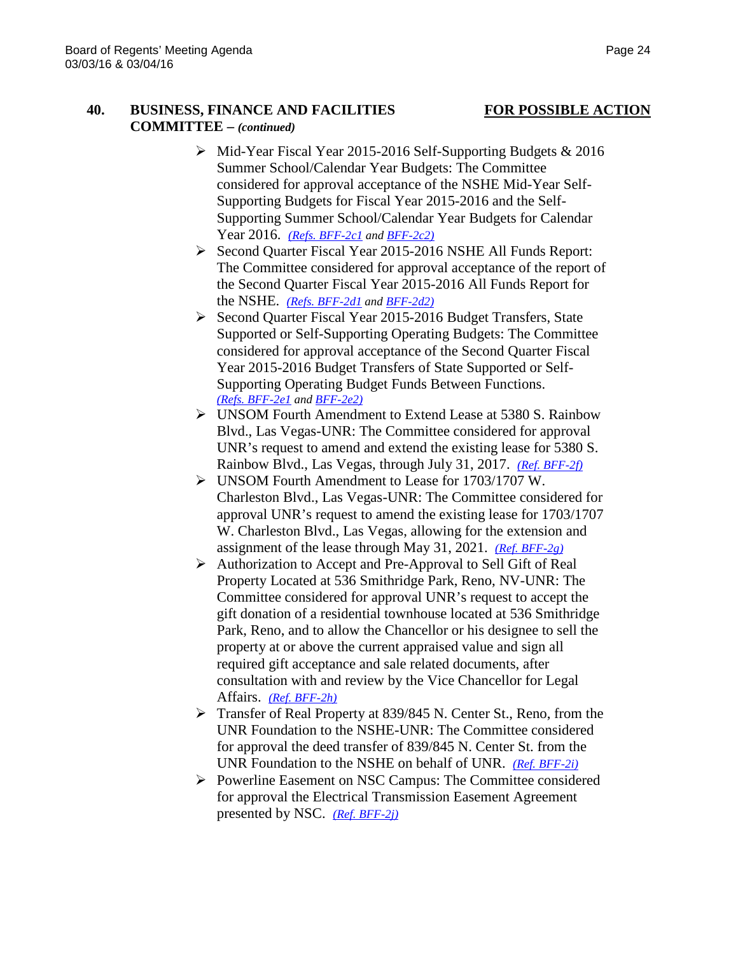# **40. BUSINESS, FINANCE AND FACILITIES FOR POSSIBLE ACTION COMMITTEE –** *(continued)*

- Mid-Year Fiscal Year 2015-2016 Self-Supporting Budgets & 2016 Summer School/Calendar Year Budgets: The Committee considered for approval acceptance of the NSHE Mid-Year Self-Supporting Budgets for Fiscal Year 2015-2016 and the Self-Supporting Summer School/Calendar Year Budgets for Calendar Year 2016. *[\(Refs. BFF-2c1](http://system.nevada.edu/tasks/sites/Nshe/assets/File/BoardOfRegents/Agendas/2016/mar-mtgs/bff-refs/BFF-2c(1).pdf) and [BFF-2c2\)](http://system.nevada.edu/tasks/sites/Nshe/assets/File/BoardOfRegents/Agendas/2016/mar-mtgs/bff-refs/BFF-2c(2).pdf)*
- Second Quarter Fiscal Year 2015-2016 NSHE All Funds Report: The Committee considered for approval acceptance of the report of the Second Quarter Fiscal Year 2015-2016 All Funds Report for the NSHE. *[\(Refs. BFF-2d1](http://system.nevada.edu/tasks/sites/Nshe/assets/File/BoardOfRegents/Agendas/2016/mar-mtgs/bff-refs/BFF-2d(1).pdf) and [BFF-2d2\)](http://system.nevada.edu/tasks/sites/Nshe/assets/File/BoardOfRegents/Agendas/2016/mar-mtgs/bff-refs/BFF-2d(2).pdf)*
- Second Quarter Fiscal Year 2015-2016 Budget Transfers, State Supported or Self-Supporting Operating Budgets: The Committee considered for approval acceptance of the Second Quarter Fiscal Year 2015-2016 Budget Transfers of State Supported or Self-Supporting Operating Budget Funds Between Functions. *[\(Refs. BFF-2e1](http://system.nevada.edu/tasks/sites/Nshe/assets/File/BoardOfRegents/Agendas/2016/mar-mtgs/bff-refs/BFF-2e(1).pdf) an[d BFF-2e2\)](http://system.nevada.edu/tasks/sites/Nshe/assets/File/BoardOfRegents/Agendas/2016/mar-mtgs/bff-refs/BFF-2e(2).pdf)*
- UNSOM Fourth Amendment to Extend Lease at 5380 S. Rainbow Blvd., Las Vegas-UNR: The Committee considered for approval UNR's request to amend and extend the existing lease for 5380 S. Rainbow Blvd., Las Vegas, through July 31, 2017. *[\(Ref. BFF-2f\)](http://system.nevada.edu/tasks/sites/Nshe/assets/File/BoardOfRegents/Agendas/2016/mar-mtgs/bff-refs/BFF-2f.pdf)*
- UNSOM Fourth Amendment to Lease for 1703/1707 W. Charleston Blvd., Las Vegas-UNR: The Committee considered for approval UNR's request to amend the existing lease for 1703/1707 W. Charleston Blvd., Las Vegas, allowing for the extension and assignment of the lease through May 31, 2021. *[\(Ref. BFF-2g\)](http://system.nevada.edu/tasks/sites/Nshe/assets/File/BoardOfRegents/Agendas/2016/mar-mtgs/bff-refs/BFF-2g.pdf)*
- Authorization to Accept and Pre-Approval to Sell Gift of Real Property Located at 536 Smithridge Park, Reno, NV-UNR: The Committee considered for approval UNR's request to accept the gift donation of a residential townhouse located at 536 Smithridge Park, Reno, and to allow the Chancellor or his designee to sell the property at or above the current appraised value and sign all required gift acceptance and sale related documents, after consultation with and review by the Vice Chancellor for Legal Affairs. *[\(Ref. BFF-2h\)](http://system.nevada.edu/tasks/sites/Nshe/assets/File/BoardOfRegents/Agendas/2016/mar-mtgs/bff-refs/BFF-2h.pdf)*
- Transfer of Real Property at 839/845 N. Center St., Reno, from the UNR Foundation to the NSHE-UNR: The Committee considered for approval the deed transfer of 839/845 N. Center St. from the UNR Foundation to the NSHE on behalf of UNR. *[\(Ref. BFF-2i\)](http://system.nevada.edu/tasks/sites/Nshe/assets/File/BoardOfRegents/Agendas/2016/mar-mtgs/bff-refs/BFF-2i.pdf)*
- Powerline Easement on NSC Campus: The Committee considered for approval the Electrical Transmission Easement Agreement presented by NSC. *[\(Ref. BFF-2j\)](http://system.nevada.edu/tasks/sites/Nshe/assets/File/BoardOfRegents/Agendas/2016/mar-mtgs/bff-refs/BFF-2j.pdf)*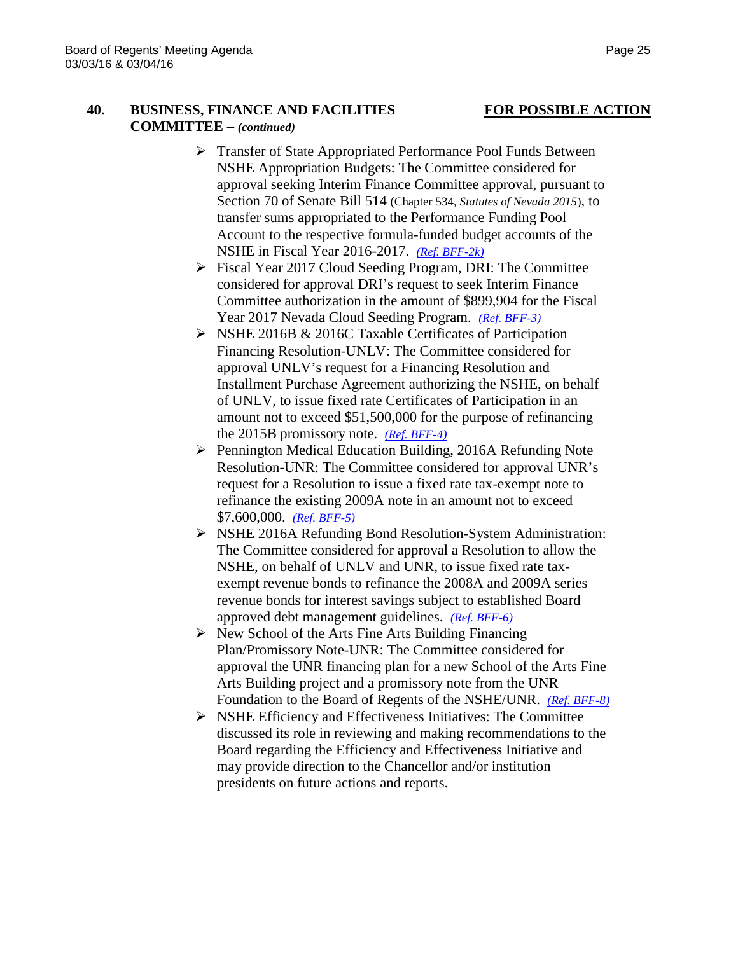# **40. BUSINESS, FINANCE AND FACILITIES FOR POSSIBLE ACTION COMMITTEE –** *(continued)*

- 
- Transfer of State Appropriated Performance Pool Funds Between NSHE Appropriation Budgets: The Committee considered for approval seeking Interim Finance Committee approval, pursuant to Section 70 of Senate Bill 514 (Chapter 534, *Statutes of Nevada 2015*), to transfer sums appropriated to the Performance Funding Pool Account to the respective formula-funded budget accounts of the NSHE in Fiscal Year 2016-2017. *[\(Ref. BFF-2k\)](http://system.nevada.edu/tasks/sites/Nshe/assets/File/BoardOfRegents/Agendas/2016/mar-mtgs/bff-refs/BFF-2k.pdf)*
- Fiscal Year 2017 Cloud Seeding Program, DRI: The Committee considered for approval DRI's request to seek Interim Finance Committee authorization in the amount of \$899,904 for the Fiscal Year 2017 Nevada Cloud Seeding Program. *[\(Ref. BFF-3\)](http://system.nevada.edu/tasks/sites/Nshe/assets/File/BoardOfRegents/Agendas/2016/mar-mtgs/bff-refs/BFF-3.pdf)*
- $\triangleright$  NSHE 2016B & 2016C Taxable Certificates of Participation Financing Resolution-UNLV: The Committee considered for approval UNLV's request for a Financing Resolution and Installment Purchase Agreement authorizing the NSHE, on behalf of UNLV, to issue fixed rate Certificates of Participation in an amount not to exceed \$51,500,000 for the purpose of refinancing the 2015B promissory note. *[\(Ref. BFF-4\)](http://system.nevada.edu/tasks/sites/Nshe/assets/File/BoardOfRegents/Agendas/2016/mar-mtgs/bff-refs/BFF-4.pdf)*
- Pennington Medical Education Building, 2016A Refunding Note Resolution-UNR: The Committee considered for approval UNR's request for a Resolution to issue a fixed rate tax-exempt note to refinance the existing 2009A note in an amount not to exceed \$7,600,000. *[\(Ref. BFF-5\)](http://system.nevada.edu/tasks/sites/Nshe/assets/File/BoardOfRegents/Agendas/2016/mar-mtgs/bff-refs/BFF-5.pdf)*
- NSHE 2016A Refunding Bond Resolution-System Administration: The Committee considered for approval a Resolution to allow the NSHE, on behalf of UNLV and UNR, to issue fixed rate taxexempt revenue bonds to refinance the 2008A and 2009A series revenue bonds for interest savings subject to established Board approved debt management guidelines. *[\(Ref. BFF-6\)](http://system.nevada.edu/tasks/sites/Nshe/assets/File/BoardOfRegents/Agendas/2016/mar-mtgs/bff-refs/BFF-6.pdf)*
- $\triangleright$  New School of the Arts Fine Arts Building Financing Plan/Promissory Note-UNR: The Committee considered for approval the UNR financing plan for a new School of the Arts Fine Arts Building project and a promissory note from the UNR Foundation to the Board of Regents of the NSHE/UNR. *[\(Ref. BFF-8\)](http://system.nevada.edu/tasks/sites/Nshe/assets/File/BoardOfRegents/Agendas/2016/mar-mtgs/bff-refs/BFF-8.pdf)*
- $\triangleright$  NSHE Efficiency and Effectiveness Initiatives: The Committee discussed its role in reviewing and making recommendations to the Board regarding the Efficiency and Effectiveness Initiative and may provide direction to the Chancellor and/or institution presidents on future actions and reports.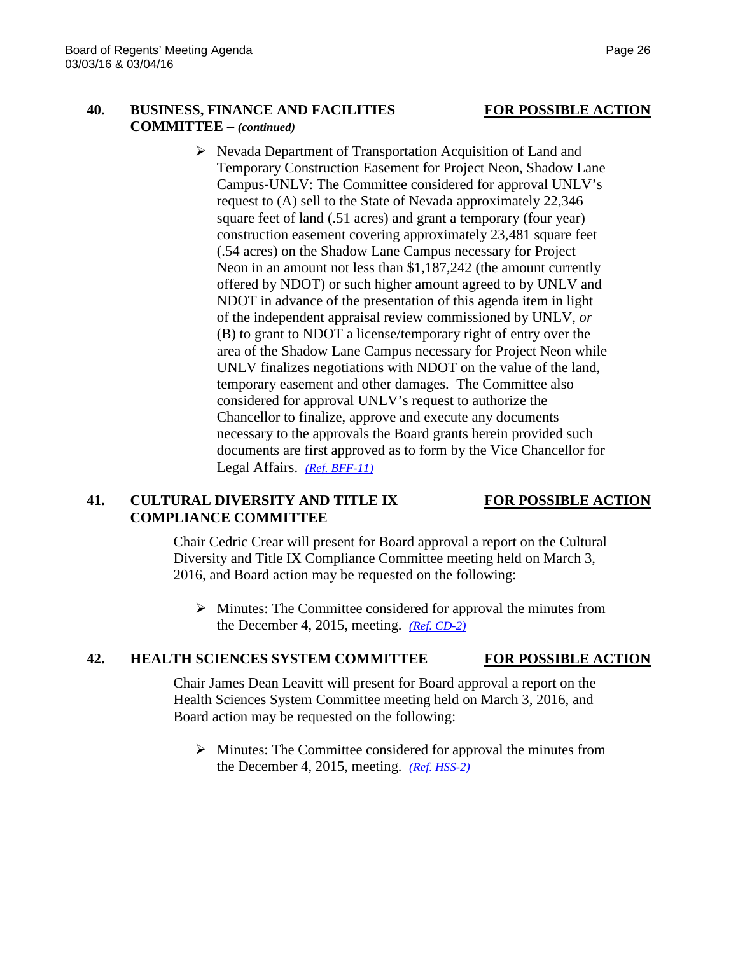# **40. BUSINESS, FINANCE AND FACILITIES FOR POSSIBLE ACTION COMMITTEE –** *(continued)*

 $\triangleright$  Nevada Department of Transportation Acquisition of Land and Temporary Construction Easement for Project Neon, Shadow Lane Campus-UNLV: The Committee considered for approval UNLV's request to (A) sell to the State of Nevada approximately 22,346 square feet of land (.51 acres) and grant a temporary (four year) construction easement covering approximately 23,481 square feet (.54 acres) on the Shadow Lane Campus necessary for Project Neon in an amount not less than \$1,187,242 (the amount currently offered by NDOT) or such higher amount agreed to by UNLV and NDOT in advance of the presentation of this agenda item in light of the independent appraisal review commissioned by UNLV, *or* (B) to grant to NDOT a license/temporary right of entry over the area of the Shadow Lane Campus necessary for Project Neon while UNLV finalizes negotiations with NDOT on the value of the land, temporary easement and other damages. The Committee also considered for approval UNLV's request to authorize the Chancellor to finalize, approve and execute any documents necessary to the approvals the Board grants herein provided such documents are first approved as to form by the Vice Chancellor for Legal Affairs. *[\(Ref. BFF-11\)](http://system.nevada.edu/tasks/sites/Nshe/assets/File/BoardOfRegents/Agendas/2016/mar-mtgs/bff-refs/BFF-11.pdf)*

### **41. CULTURAL DIVERSITY AND TITLE IX FOR POSSIBLE ACTION COMPLIANCE COMMITTEE**

Chair Cedric Crear will present for Board approval a report on the Cultural Diversity and Title IX Compliance Committee meeting held on March 3, 2016, and Board action may be requested on the following:

 $\triangleright$  Minutes: The Committee considered for approval the minutes from the December 4, 2015, meeting. *[\(Ref. CD-2\)](http://system.nevada.edu/tasks/sites/Nshe/assets/File/BoardOfRegents/Agendas/2016/mar-mtgs/cdix-refs/CD-2.pdf)*

# **42. HEALTH SCIENCES SYSTEM COMMITTEE FOR POSSIBLE ACTION**

Chair James Dean Leavitt will present for Board approval a report on the Health Sciences System Committee meeting held on March 3, 2016, and Board action may be requested on the following:

 $\triangleright$  Minutes: The Committee considered for approval the minutes from the December 4, 2015, meeting. *[\(Ref. HSS-2\)](http://system.nevada.edu/tasks/sites/Nshe/assets/File/BoardOfRegents/Agendas/2016/mar-mtgs/hss-refs/HSS-2.pdf)*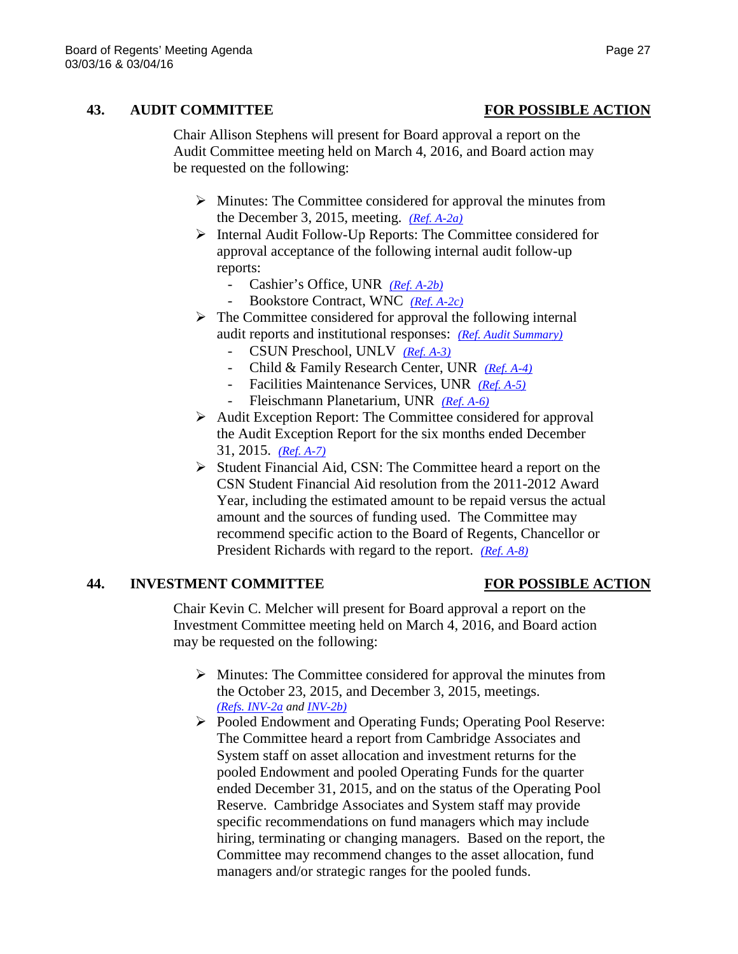## **43. AUDIT COMMITTEE FOR POSSIBLE ACTION**

Chair Allison Stephens will present for Board approval a report on the Audit Committee meeting held on March 4, 2016, and Board action may be requested on the following:

- $\triangleright$  Minutes: The Committee considered for approval the minutes from the December 3, 2015, meeting. *[\(Ref. A-2a\)](http://system.nevada.edu/tasks/sites/Nshe/assets/File/BoardOfRegents/Agendas/2016/mar-mtgs/audit-refs/A-2a.pdf)*
- $\triangleright$  Internal Audit Follow-Up Reports: The Committee considered for approval acceptance of the following internal audit follow-up reports:
	- Cashier's Office, UNR *[\(Ref. A-2b\)](http://system.nevada.edu/tasks/sites/Nshe/assets/File/BoardOfRegents/Agendas/2016/mar-mtgs/audit-refs/A-2b.pdf)*
	- Bookstore Contract, WNC *[\(Ref. A-2c\)](http://system.nevada.edu/tasks/sites/Nshe/assets/File/BoardOfRegents/Agendas/2016/mar-mtgs/audit-refs/A-2c.pdf)*
- $\triangleright$  The Committee considered for approval the following internal audit reports and institutional responses: *[\(Ref. Audit Summary\)](http://system.nevada.edu/tasks/sites/Nshe/assets/File/BoardOfRegents/Agendas/2016/mar-mtgs/audit-refs/Audit%20Summary.pdf)*
	- CSUN Preschool, UNLV *[\(Ref. A-3\)](http://system.nevada.edu/tasks/sites/Nshe/assets/File/BoardOfRegents/Agendas/2016/mar-mtgs/audit-refs/A-3.pdf)*
	- Child & Family Research Center, UNR *[\(Ref. A-4\)](http://system.nevada.edu/tasks/sites/Nshe/assets/File/BoardOfRegents/Agendas/2016/mar-mtgs/audit-refs/A-4.pdf)*
	- Facilities Maintenance Services, UNR *[\(Ref. A-5\)](http://system.nevada.edu/tasks/sites/Nshe/assets/File/BoardOfRegents/Agendas/2016/mar-mtgs/audit-refs/A-5.pdf)*
	- Fleischmann Planetarium, UNR *[\(Ref. A-6\)](http://system.nevada.edu/tasks/sites/Nshe/assets/File/BoardOfRegents/Agendas/2016/mar-mtgs/audit-refs/A-6.pdf)*
- $\triangleright$  Audit Exception Report: The Committee considered for approval the Audit Exception Report for the six months ended December 31, 2015. *[\(Ref. A-7\)](http://system.nevada.edu/tasks/sites/Nshe/assets/File/BoardOfRegents/Agendas/2016/mar-mtgs/audit-refs/A-7.pdf)*
- $\triangleright$  Student Financial Aid, CSN: The Committee heard a report on the CSN Student Financial Aid resolution from the 2011-2012 Award Year, including the estimated amount to be repaid versus the actual amount and the sources of funding used. The Committee may recommend specific action to the Board of Regents, Chancellor or President Richards with regard to the report. *[\(Ref. A-8\)](http://system.nevada.edu/tasks/sites/Nshe/assets/File/BoardOfRegents/Agendas/2016/mar-mtgs/audit-refs/A-8.pdf)*

### **44. INVESTMENT COMMITTEE FOR POSSIBLE ACTION**

Chair Kevin C. Melcher will present for Board approval a report on the Investment Committee meeting held on March 4, 2016, and Board action may be requested on the following:

- $\triangleright$  Minutes: The Committee considered for approval the minutes from the October 23, 2015, and December 3, 2015, meetings. *[\(Refs. INV-2a](http://system.nevada.edu/tasks/sites/Nshe/assets/File/BoardOfRegents/Agendas/2016/mar-mtgs/inv-refs/IF-2a.pdf) and [INV-2b\)](http://system.nevada.edu/tasks/sites/Nshe/assets/File/BoardOfRegents/Agendas/2016/mar-mtgs/inv-refs/IF-2b.pdf)*
- Pooled Endowment and Operating Funds; Operating Pool Reserve: The Committee heard a report from Cambridge Associates and System staff on asset allocation and investment returns for the pooled Endowment and pooled Operating Funds for the quarter ended December 31, 2015, and on the status of the Operating Pool Reserve. Cambridge Associates and System staff may provide specific recommendations on fund managers which may include hiring, terminating or changing managers. Based on the report, the Committee may recommend changes to the asset allocation, fund managers and/or strategic ranges for the pooled funds.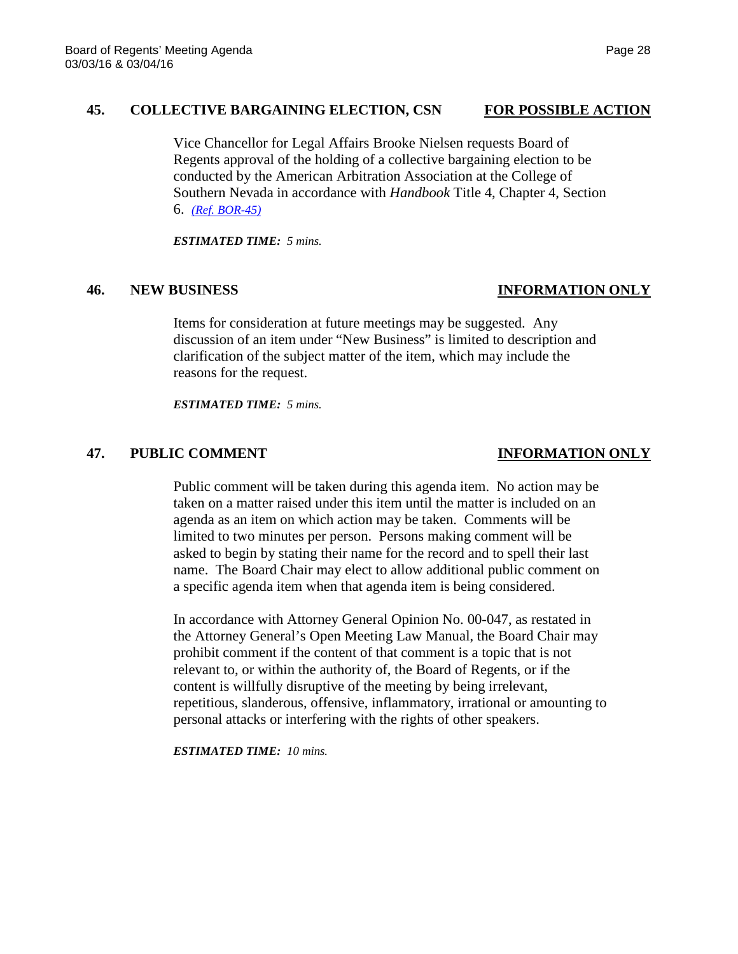### **45. COLLECTIVE BARGAINING ELECTION, CSN FOR POSSIBLE ACTION**

Vice Chancellor for Legal Affairs Brooke Nielsen requests Board of Regents approval of the holding of a collective bargaining election to be conducted by the American Arbitration Association at the College of Southern Nevada in accordance with *Handbook* Title 4, Chapter 4, Section 6. *[\(Ref. BOR-45\)](http://system.nevada.edu/tasks/sites/Nshe/assets/File/BoardOfRegents/Agendas/2016/mar-mtgs/bor-refs/BOR-45.pdf)*

*ESTIMATED TIME: 5 mins.*

### **46. NEW BUSINESS INFORMATION ONLY**

Items for consideration at future meetings may be suggested. Any discussion of an item under "New Business" is limited to description and clarification of the subject matter of the item, which may include the reasons for the request.

*ESTIMATED TIME: 5 mins.*

## **47. PUBLIC COMMENT INFORMATION ONLY**

Public comment will be taken during this agenda item. No action may be taken on a matter raised under this item until the matter is included on an agenda as an item on which action may be taken. Comments will be limited to two minutes per person. Persons making comment will be asked to begin by stating their name for the record and to spell their last name. The Board Chair may elect to allow additional public comment on a specific agenda item when that agenda item is being considered.

In accordance with Attorney General Opinion No. 00-047, as restated in the Attorney General's Open Meeting Law Manual, the Board Chair may prohibit comment if the content of that comment is a topic that is not relevant to, or within the authority of, the Board of Regents, or if the content is willfully disruptive of the meeting by being irrelevant, repetitious, slanderous, offensive, inflammatory, irrational or amounting to personal attacks or interfering with the rights of other speakers.

*ESTIMATED TIME: 10 mins.*